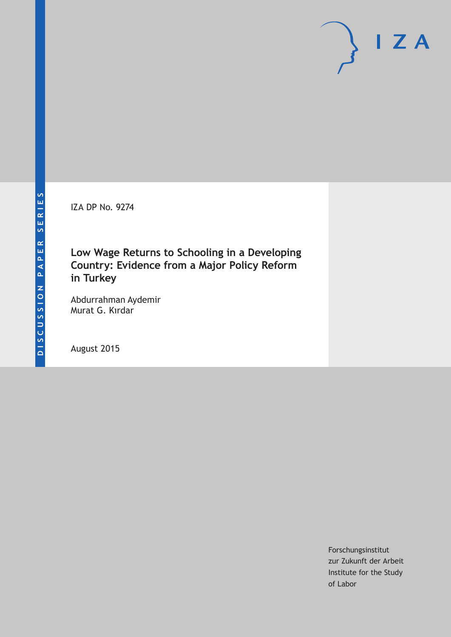IZA DP No. 9274

# **Low Wage Returns to Schooling in a Developing Country: Evidence from a Major Policy Reform in Turkey**

Abdurrahman Aydemir Murat G. Kırdar

August 2015

Forschungsinstitut zur Zukunft der Arbeit Institute for the Study of Labor

 $I Z A$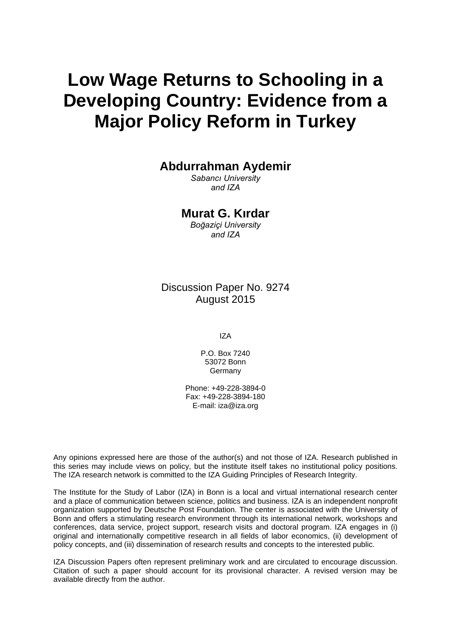# **Low Wage Returns to Schooling in a Developing Country: Evidence from a Major Policy Reform in Turkey**

**Abdurrahman Aydemir** 

*Sabancı University and IZA* 

**Murat G. Kırdar** 

*Boğaziçi University and IZA* 

Discussion Paper No. 9274 August 2015

IZA

P.O. Box 7240 53072 Bonn **Germany** 

Phone: +49-228-3894-0 Fax: +49-228-3894-180 E-mail: iza@iza.org

Any opinions expressed here are those of the author(s) and not those of IZA. Research published in this series may include views on policy, but the institute itself takes no institutional policy positions. The IZA research network is committed to the IZA Guiding Principles of Research Integrity.

The Institute for the Study of Labor (IZA) in Bonn is a local and virtual international research center and a place of communication between science, politics and business. IZA is an independent nonprofit organization supported by Deutsche Post Foundation. The center is associated with the University of Bonn and offers a stimulating research environment through its international network, workshops and conferences, data service, project support, research visits and doctoral program. IZA engages in (i) original and internationally competitive research in all fields of labor economics, (ii) development of policy concepts, and (iii) dissemination of research results and concepts to the interested public.

IZA Discussion Papers often represent preliminary work and are circulated to encourage discussion. Citation of such a paper should account for its provisional character. A revised version may be available directly from the author.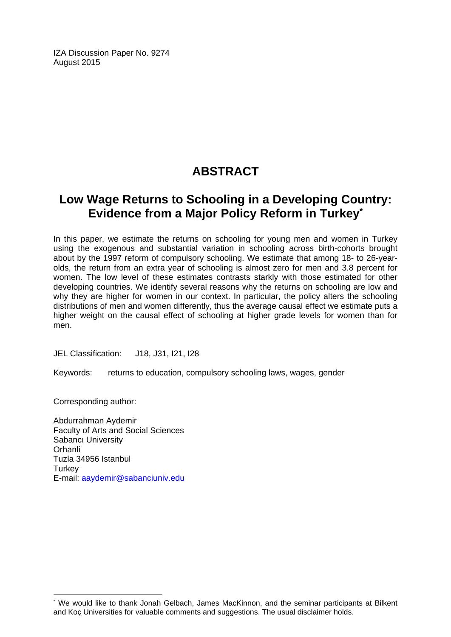IZA Discussion Paper No. 9274 August 2015

# **ABSTRACT**

# **Low Wage Returns to Schooling in a Developing Country: Evidence from a Major Policy Reform in Turkey\***

In this paper, we estimate the returns on schooling for young men and women in Turkey using the exogenous and substantial variation in schooling across birth-cohorts brought about by the 1997 reform of compulsory schooling. We estimate that among 18- to 26-yearolds, the return from an extra year of schooling is almost zero for men and 3.8 percent for women. The low level of these estimates contrasts starkly with those estimated for other developing countries. We identify several reasons why the returns on schooling are low and why they are higher for women in our context. In particular, the policy alters the schooling distributions of men and women differently, thus the average causal effect we estimate puts a higher weight on the causal effect of schooling at higher grade levels for women than for men.

JEL Classification: J18, J31, I21, I28

Keywords: returns to education, compulsory schooling laws, wages, gender

Corresponding author:

 $\overline{\phantom{a}}$ 

Abdurrahman Aydemir Faculty of Arts and Social Sciences Sabancı University Orhanli Tuzla 34956 Istanbul **Turkey** E-mail: aaydemir@sabanciuniv.edu

<sup>\*</sup> We would like to thank Jonah Gelbach, James MacKinnon, and the seminar participants at Bilkent and Koç Universities for valuable comments and suggestions. The usual disclaimer holds.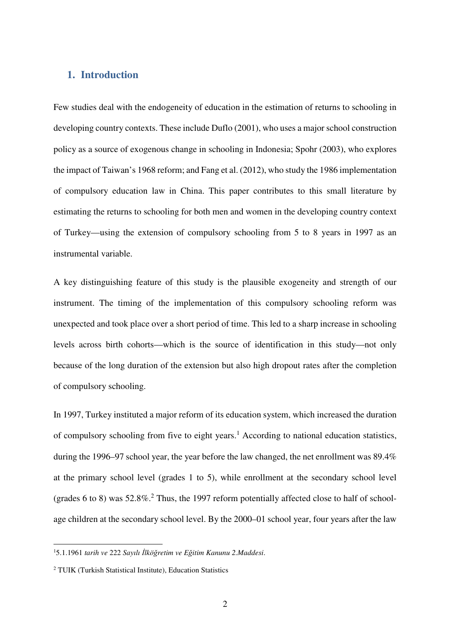# **1. Introduction**

Few studies deal with the endogeneity of education in the estimation of returns to schooling in developing country contexts. These include Duflo (2001), who uses a major school construction policy as a source of exogenous change in schooling in Indonesia; Spohr (2003), who explores the impact of Taiwan's 1968 reform; and Fang et al. (2012), who study the 1986 implementation of compulsory education law in China. This paper contributes to this small literature by estimating the returns to schooling for both men and women in the developing country context of Turkey—using the extension of compulsory schooling from 5 to 8 years in 1997 as an instrumental variable.

A key distinguishing feature of this study is the plausible exogeneity and strength of our instrument. The timing of the implementation of this compulsory schooling reform was unexpected and took place over a short period of time. This led to a sharp increase in schooling levels across birth cohorts—which is the source of identification in this study—not only because of the long duration of the extension but also high dropout rates after the completion of compulsory schooling.

In 1997, Turkey instituted a major reform of its education system, which increased the duration of compulsory schooling from five to eight years.<sup>1</sup> According to national education statistics, during the 1996–97 school year, the year before the law changed, the net enrollment was 89.4% at the primary school level (grades 1 to 5), while enrollment at the secondary school level (grades 6 to 8) was  $52.8\%$ <sup>2</sup> Thus, the 1997 reform potentially affected close to half of schoolage children at the secondary school level. By the 2000–01 school year, four years after the law

j

<sup>1</sup>5.1.1961 *tarih ve* 222 *Sayılı İlköğretim ve Eğitim Kanunu 2.Maddesi*.

<sup>2</sup> TUIK (Turkish Statistical Institute), Education Statistics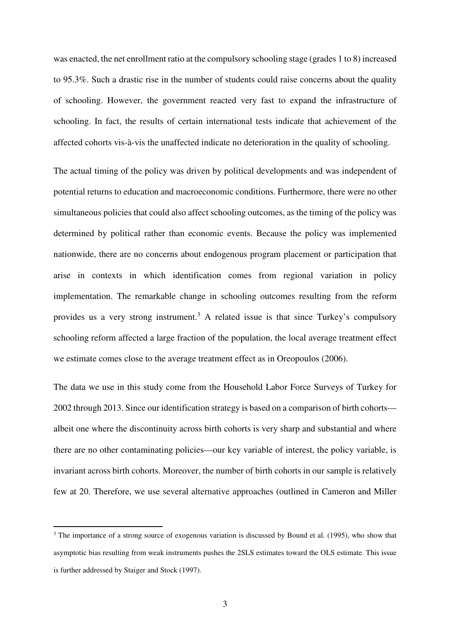was enacted, the net enrollment ratio at the compulsory schooling stage (grades 1 to 8) increased to 95.3%. Such a drastic rise in the number of students could raise concerns about the quality of schooling. However, the government reacted very fast to expand the infrastructure of schooling. In fact, the results of certain international tests indicate that achievement of the affected cohorts vis-à-vis the unaffected indicate no deterioration in the quality of schooling.

The actual timing of the policy was driven by political developments and was independent of potential returns to education and macroeconomic conditions. Furthermore, there were no other simultaneous policies that could also affect schooling outcomes, as the timing of the policy was determined by political rather than economic events. Because the policy was implemented nationwide, there are no concerns about endogenous program placement or participation that arise in contexts in which identification comes from regional variation in policy implementation. The remarkable change in schooling outcomes resulting from the reform provides us a very strong instrument.<sup>3</sup> A related issue is that since Turkey's compulsory schooling reform affected a large fraction of the population, the local average treatment effect we estimate comes close to the average treatment effect as in Oreopoulos (2006).

The data we use in this study come from the Household Labor Force Surveys of Turkey for 2002 through 2013. Since our identification strategy is based on a comparison of birth cohorts albeit one where the discontinuity across birth cohorts is very sharp and substantial and where there are no other contaminating policies—our key variable of interest, the policy variable, is invariant across birth cohorts. Moreover, the number of birth cohorts in our sample is relatively few at 20. Therefore, we use several alternative approaches (outlined in Cameron and Miller

j

<sup>&</sup>lt;sup>3</sup> The importance of a strong source of exogenous variation is discussed by Bound et al. (1995), who show that asymptotic bias resulting from weak instruments pushes the 2SLS estimates toward the OLS estimate. This issue is further addressed by Staiger and Stock (1997).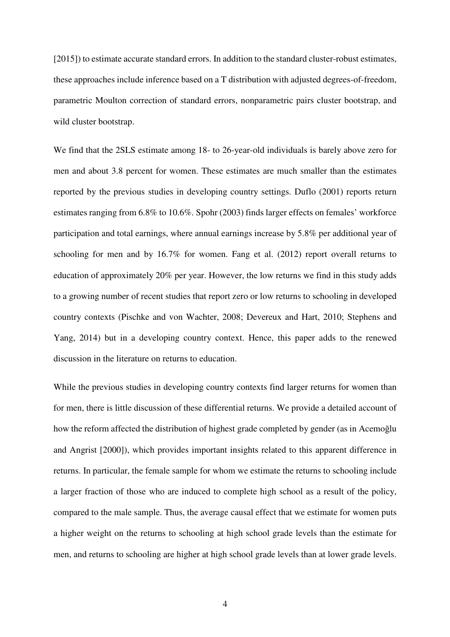[2015]) to estimate accurate standard errors. In addition to the standard cluster-robust estimates, these approaches include inference based on a T distribution with adjusted degrees-of-freedom, parametric Moulton correction of standard errors, nonparametric pairs cluster bootstrap, and wild cluster bootstrap.

We find that the 2SLS estimate among 18- to 26-year-old individuals is barely above zero for men and about 3.8 percent for women. These estimates are much smaller than the estimates reported by the previous studies in developing country settings. Duflo (2001) reports return estimates ranging from 6.8% to 10.6%. Spohr (2003) finds larger effects on females' workforce participation and total earnings, where annual earnings increase by 5.8% per additional year of schooling for men and by 16.7% for women. Fang et al. (2012) report overall returns to education of approximately 20% per year. However, the low returns we find in this study adds to a growing number of recent studies that report zero or low returns to schooling in developed country contexts (Pischke and von Wachter, 2008; Devereux and Hart, 2010; Stephens and Yang, 2014) but in a developing country context. Hence, this paper adds to the renewed discussion in the literature on returns to education.

While the previous studies in developing country contexts find larger returns for women than for men, there is little discussion of these differential returns. We provide a detailed account of how the reform affected the distribution of highest grade completed by gender (as in Acemoğlu and Angrist [2000]), which provides important insights related to this apparent difference in returns. In particular, the female sample for whom we estimate the returns to schooling include a larger fraction of those who are induced to complete high school as a result of the policy, compared to the male sample. Thus, the average causal effect that we estimate for women puts a higher weight on the returns to schooling at high school grade levels than the estimate for men, and returns to schooling are higher at high school grade levels than at lower grade levels.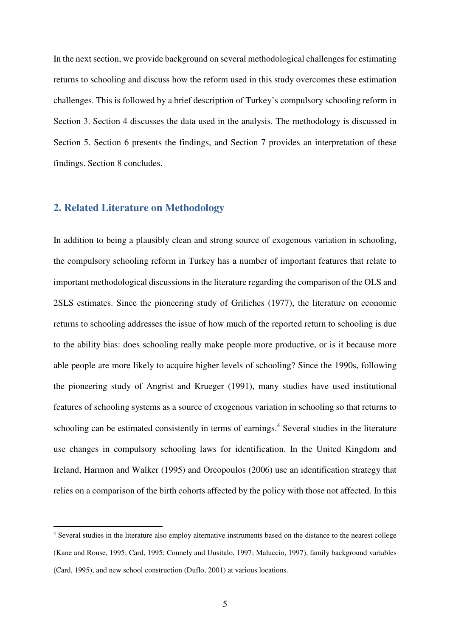In the next section, we provide background on several methodological challenges for estimating returns to schooling and discuss how the reform used in this study overcomes these estimation challenges. This is followed by a brief description of Turkey's compulsory schooling reform in Section 3. Section 4 discusses the data used in the analysis. The methodology is discussed in Section 5. Section 6 presents the findings, and Section 7 provides an interpretation of these findings. Section 8 concludes.

## **2. Related Literature on Methodology**

j

In addition to being a plausibly clean and strong source of exogenous variation in schooling, the compulsory schooling reform in Turkey has a number of important features that relate to important methodological discussions in the literature regarding the comparison of the OLS and 2SLS estimates. Since the pioneering study of Griliches (1977), the literature on economic returns to schooling addresses the issue of how much of the reported return to schooling is due to the ability bias: does schooling really make people more productive, or is it because more able people are more likely to acquire higher levels of schooling? Since the 1990s, following the pioneering study of Angrist and Krueger (1991), many studies have used institutional features of schooling systems as a source of exogenous variation in schooling so that returns to schooling can be estimated consistently in terms of earnings.<sup>4</sup> Several studies in the literature use changes in compulsory schooling laws for identification. In the United Kingdom and Ireland, Harmon and Walker (1995) and Oreopoulos (2006) use an identification strategy that relies on a comparison of the birth cohorts affected by the policy with those not affected. In this

<sup>4</sup> Several studies in the literature also employ alternative instruments based on the distance to the nearest college (Kane and Rouse, 1995; Card, 1995; Connely and Uusitalo, 1997; Maluccio, 1997), family background variables (Card, 1995), and new school construction (Duflo, 2001) at various locations.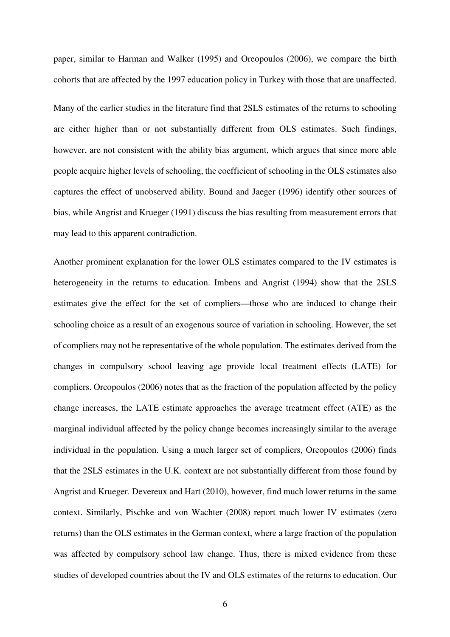paper, similar to Harman and Walker (1995) and Oreopoulos (2006), we compare the birth cohorts that are affected by the 1997 education policy in Turkey with those that are unaffected.

Many of the earlier studies in the literature find that 2SLS estimates of the returns to schooling are either higher than or not substantially different from OLS estimates. Such findings, however, are not consistent with the ability bias argument, which argues that since more able people acquire higher levels of schooling, the coefficient of schooling in the OLS estimates also captures the effect of unobserved ability. Bound and Jaeger (1996) identify other sources of bias, while Angrist and Krueger (1991) discuss the bias resulting from measurement errors that may lead to this apparent contradiction.

Another prominent explanation for the lower OLS estimates compared to the IV estimates is heterogeneity in the returns to education. Imbens and Angrist (1994) show that the 2SLS estimates give the effect for the set of compliers—those who are induced to change their schooling choice as a result of an exogenous source of variation in schooling. However, the set of compliers may not be representative of the whole population. The estimates derived from the changes in compulsory school leaving age provide local treatment effects (LATE) for compliers. Oreopoulos (2006) notes that as the fraction of the population affected by the policy change increases, the LATE estimate approaches the average treatment effect (ATE) as the marginal individual affected by the policy change becomes increasingly similar to the average individual in the population. Using a much larger set of compliers, Oreopoulos (2006) finds that the 2SLS estimates in the U.K. context are not substantially different from those found by Angrist and Krueger. Devereux and Hart (2010), however, find much lower returns in the same context. Similarly, Pischke and von Wachter (2008) report much lower IV estimates (zero returns) than the OLS estimates in the German context, where a large fraction of the population was affected by compulsory school law change. Thus, there is mixed evidence from these studies of developed countries about the IV and OLS estimates of the returns to education. Our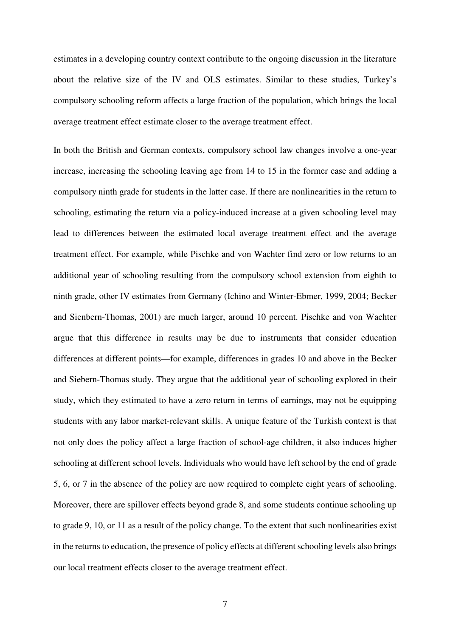estimates in a developing country context contribute to the ongoing discussion in the literature about the relative size of the IV and OLS estimates. Similar to these studies, Turkey's compulsory schooling reform affects a large fraction of the population, which brings the local average treatment effect estimate closer to the average treatment effect.

In both the British and German contexts, compulsory school law changes involve a one-year increase, increasing the schooling leaving age from 14 to 15 in the former case and adding a compulsory ninth grade for students in the latter case. If there are nonlinearities in the return to schooling, estimating the return via a policy-induced increase at a given schooling level may lead to differences between the estimated local average treatment effect and the average treatment effect. For example, while Pischke and von Wachter find zero or low returns to an additional year of schooling resulting from the compulsory school extension from eighth to ninth grade, other IV estimates from Germany (Ichino and Winter-Ebmer, 1999, 2004; Becker and Sienbern-Thomas, 2001) are much larger, around 10 percent. Pischke and von Wachter argue that this difference in results may be due to instruments that consider education differences at different points—for example, differences in grades 10 and above in the Becker and Siebern-Thomas study. They argue that the additional year of schooling explored in their study, which they estimated to have a zero return in terms of earnings, may not be equipping students with any labor market-relevant skills. A unique feature of the Turkish context is that not only does the policy affect a large fraction of school-age children, it also induces higher schooling at different school levels. Individuals who would have left school by the end of grade 5, 6, or 7 in the absence of the policy are now required to complete eight years of schooling. Moreover, there are spillover effects beyond grade 8, and some students continue schooling up to grade 9, 10, or 11 as a result of the policy change. To the extent that such nonlinearities exist in the returns to education, the presence of policy effects at different schooling levels also brings our local treatment effects closer to the average treatment effect.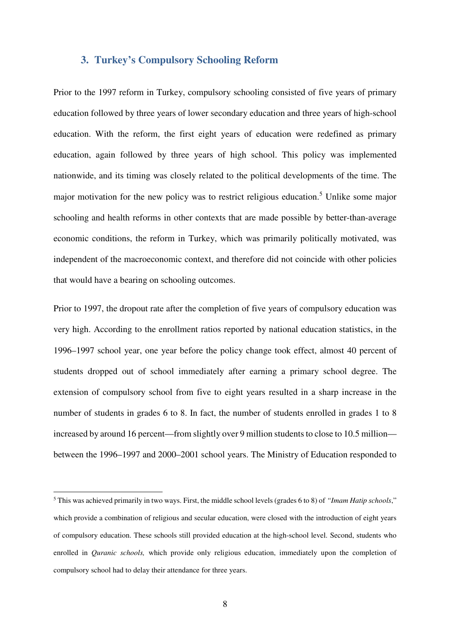### **3. Turkey's Compulsory Schooling Reform**

Prior to the 1997 reform in Turkey, compulsory schooling consisted of five years of primary education followed by three years of lower secondary education and three years of high-school education. With the reform, the first eight years of education were redefined as primary education, again followed by three years of high school. This policy was implemented nationwide, and its timing was closely related to the political developments of the time. The major motivation for the new policy was to restrict religious education.<sup>5</sup> Unlike some major schooling and health reforms in other contexts that are made possible by better-than-average economic conditions, the reform in Turkey, which was primarily politically motivated, was independent of the macroeconomic context, and therefore did not coincide with other policies that would have a bearing on schooling outcomes.

Prior to 1997, the dropout rate after the completion of five years of compulsory education was very high. According to the enrollment ratios reported by national education statistics, in the 1996–1997 school year, one year before the policy change took effect, almost 40 percent of students dropped out of school immediately after earning a primary school degree. The extension of compulsory school from five to eight years resulted in a sharp increase in the number of students in grades 6 to 8. In fact, the number of students enrolled in grades 1 to 8 increased by around 16 percent—from slightly over 9 million students to close to 10.5 million between the 1996–1997 and 2000–2001 school years. The Ministry of Education responded to

j

<sup>5</sup> This was achieved primarily in two ways. First, the middle school levels (grades 6 to 8) of *"Imam Hatip schools*," which provide a combination of religious and secular education, were closed with the introduction of eight years of compulsory education. These schools still provided education at the high-school level. Second, students who enrolled in *Quranic schools,* which provide only religious education, immediately upon the completion of compulsory school had to delay their attendance for three years.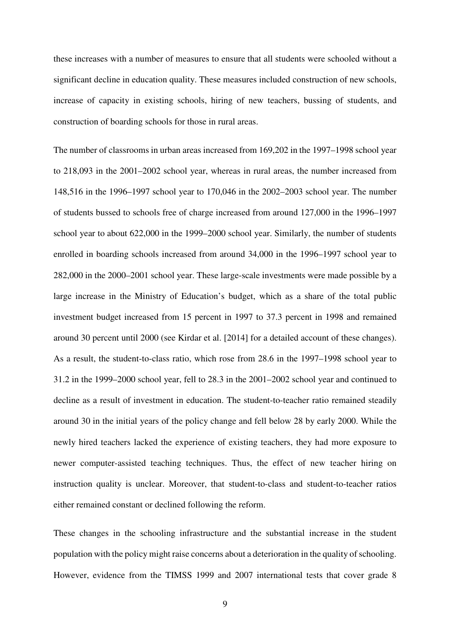these increases with a number of measures to ensure that all students were schooled without a significant decline in education quality. These measures included construction of new schools, increase of capacity in existing schools, hiring of new teachers, bussing of students, and construction of boarding schools for those in rural areas.

The number of classrooms in urban areas increased from 169,202 in the 1997–1998 school year to 218,093 in the 2001–2002 school year, whereas in rural areas, the number increased from 148,516 in the 1996–1997 school year to 170,046 in the 2002–2003 school year. The number of students bussed to schools free of charge increased from around 127,000 in the 1996–1997 school year to about 622,000 in the 1999–2000 school year. Similarly, the number of students enrolled in boarding schools increased from around 34,000 in the 1996–1997 school year to 282,000 in the 2000–2001 school year. These large-scale investments were made possible by a large increase in the Ministry of Education's budget, which as a share of the total public investment budget increased from 15 percent in 1997 to 37.3 percent in 1998 and remained around 30 percent until 2000 (see Kirdar et al. [2014] for a detailed account of these changes). As a result, the student-to-class ratio, which rose from 28.6 in the 1997–1998 school year to 31.2 in the 1999–2000 school year, fell to 28.3 in the 2001–2002 school year and continued to decline as a result of investment in education. The student-to-teacher ratio remained steadily around 30 in the initial years of the policy change and fell below 28 by early 2000. While the newly hired teachers lacked the experience of existing teachers, they had more exposure to newer computer-assisted teaching techniques. Thus, the effect of new teacher hiring on instruction quality is unclear. Moreover, that student-to-class and student-to-teacher ratios either remained constant or declined following the reform.

These changes in the schooling infrastructure and the substantial increase in the student population with the policy might raise concerns about a deterioration in the quality of schooling. However, evidence from the TIMSS 1999 and 2007 international tests that cover grade 8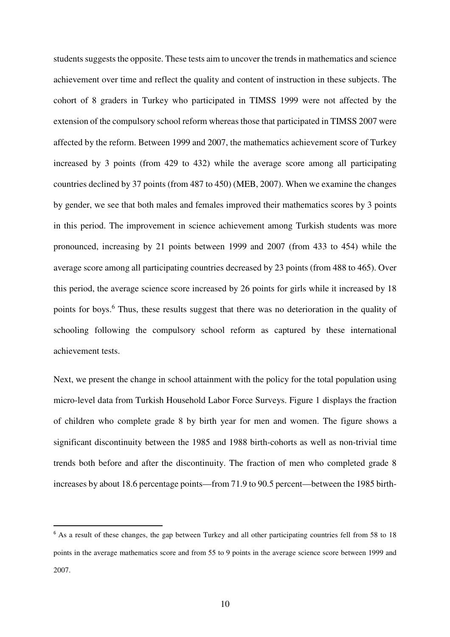students suggests the opposite. These tests aim to uncover the trends in mathematics and science achievement over time and reflect the quality and content of instruction in these subjects. The cohort of 8 graders in Turkey who participated in TIMSS 1999 were not affected by the extension of the compulsory school reform whereas those that participated in TIMSS 2007 were affected by the reform. Between 1999 and 2007, the mathematics achievement score of Turkey increased by 3 points (from 429 to 432) while the average score among all participating countries declined by 37 points (from 487 to 450) (MEB, 2007). When we examine the changes by gender, we see that both males and females improved their mathematics scores by 3 points in this period. The improvement in science achievement among Turkish students was more pronounced, increasing by 21 points between 1999 and 2007 (from 433 to 454) while the average score among all participating countries decreased by 23 points (from 488 to 465). Over this period, the average science score increased by 26 points for girls while it increased by 18 points for boys.<sup>6</sup> Thus, these results suggest that there was no deterioration in the quality of schooling following the compulsory school reform as captured by these international achievement tests.

Next, we present the change in school attainment with the policy for the total population using micro-level data from Turkish Household Labor Force Surveys. Figure 1 displays the fraction of children who complete grade 8 by birth year for men and women. The figure shows a significant discontinuity between the 1985 and 1988 birth-cohorts as well as non-trivial time trends both before and after the discontinuity. The fraction of men who completed grade 8 increases by about 18.6 percentage points—from 71.9 to 90.5 percent—between the 1985 birth-

j

<sup>&</sup>lt;sup>6</sup> As a result of these changes, the gap between Turkey and all other participating countries fell from 58 to 18 points in the average mathematics score and from 55 to 9 points in the average science score between 1999 and 2007.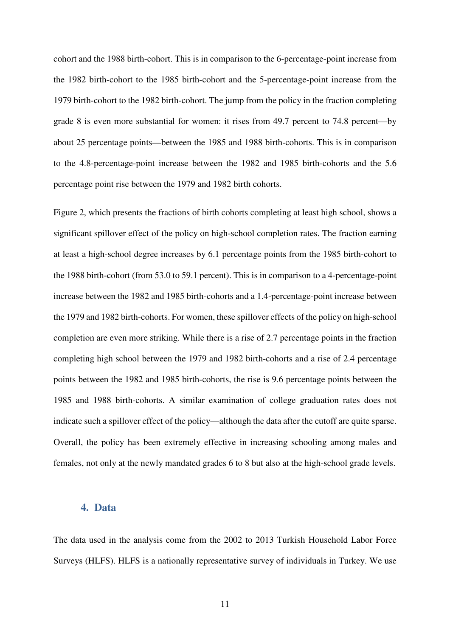cohort and the 1988 birth-cohort. This is in comparison to the 6-percentage-point increase from the 1982 birth-cohort to the 1985 birth-cohort and the 5-percentage-point increase from the 1979 birth-cohort to the 1982 birth-cohort. The jump from the policy in the fraction completing grade 8 is even more substantial for women: it rises from 49.7 percent to 74.8 percent—by about 25 percentage points—between the 1985 and 1988 birth-cohorts. This is in comparison to the 4.8-percentage-point increase between the 1982 and 1985 birth-cohorts and the 5.6 percentage point rise between the 1979 and 1982 birth cohorts.

Figure 2, which presents the fractions of birth cohorts completing at least high school, shows a significant spillover effect of the policy on high-school completion rates. The fraction earning at least a high-school degree increases by 6.1 percentage points from the 1985 birth-cohort to the 1988 birth-cohort (from 53.0 to 59.1 percent). This is in comparison to a 4-percentage-point increase between the 1982 and 1985 birth-cohorts and a 1.4-percentage-point increase between the 1979 and 1982 birth-cohorts. For women, these spillover effects of the policy on high-school completion are even more striking. While there is a rise of 2.7 percentage points in the fraction completing high school between the 1979 and 1982 birth-cohorts and a rise of 2.4 percentage points between the 1982 and 1985 birth-cohorts, the rise is 9.6 percentage points between the 1985 and 1988 birth-cohorts. A similar examination of college graduation rates does not indicate such a spillover effect of the policy—although the data after the cutoff are quite sparse. Overall, the policy has been extremely effective in increasing schooling among males and females, not only at the newly mandated grades 6 to 8 but also at the high-school grade levels.

#### **4. Data**

The data used in the analysis come from the 2002 to 2013 Turkish Household Labor Force Surveys (HLFS). HLFS is a nationally representative survey of individuals in Turkey. We use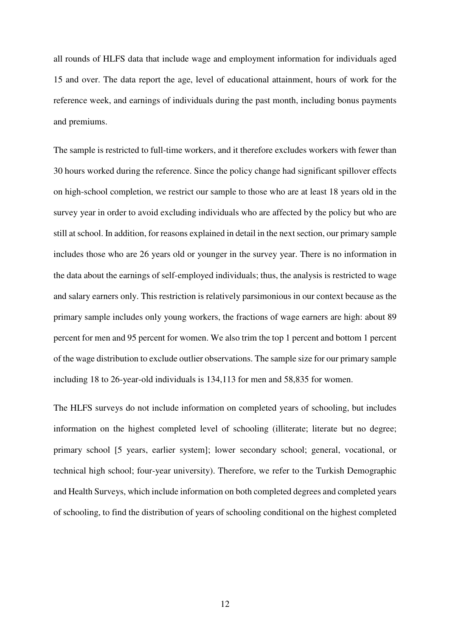all rounds of HLFS data that include wage and employment information for individuals aged 15 and over. The data report the age, level of educational attainment, hours of work for the reference week, and earnings of individuals during the past month, including bonus payments and premiums.

The sample is restricted to full-time workers, and it therefore excludes workers with fewer than 30 hours worked during the reference. Since the policy change had significant spillover effects on high-school completion, we restrict our sample to those who are at least 18 years old in the survey year in order to avoid excluding individuals who are affected by the policy but who are still at school. In addition, for reasons explained in detail in the next section, our primary sample includes those who are 26 years old or younger in the survey year. There is no information in the data about the earnings of self-employed individuals; thus, the analysis is restricted to wage and salary earners only. This restriction is relatively parsimonious in our context because as the primary sample includes only young workers, the fractions of wage earners are high: about 89 percent for men and 95 percent for women. We also trim the top 1 percent and bottom 1 percent of the wage distribution to exclude outlier observations. The sample size for our primary sample including 18 to 26-year-old individuals is 134,113 for men and 58,835 for women.

The HLFS surveys do not include information on completed years of schooling, but includes information on the highest completed level of schooling (illiterate; literate but no degree; primary school [5 years, earlier system]; lower secondary school; general, vocational, or technical high school; four-year university). Therefore, we refer to the Turkish Demographic and Health Surveys, which include information on both completed degrees and completed years of schooling, to find the distribution of years of schooling conditional on the highest completed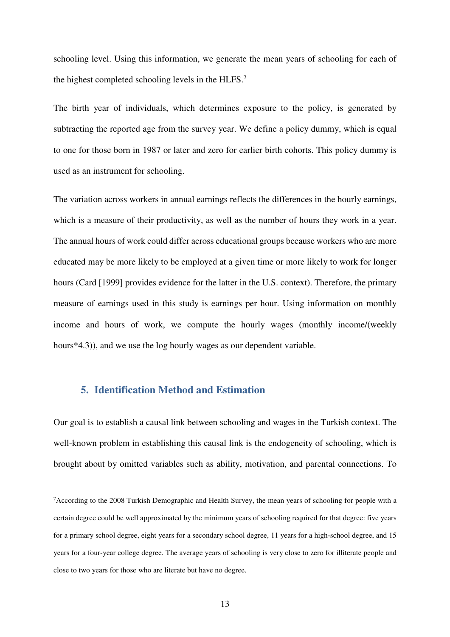schooling level. Using this information, we generate the mean years of schooling for each of the highest completed schooling levels in the HLFS.<sup>7</sup>

The birth year of individuals, which determines exposure to the policy, is generated by subtracting the reported age from the survey year. We define a policy dummy, which is equal to one for those born in 1987 or later and zero for earlier birth cohorts. This policy dummy is used as an instrument for schooling.

The variation across workers in annual earnings reflects the differences in the hourly earnings, which is a measure of their productivity, as well as the number of hours they work in a year. The annual hours of work could differ across educational groups because workers who are more educated may be more likely to be employed at a given time or more likely to work for longer hours (Card [1999] provides evidence for the latter in the U.S. context). Therefore, the primary measure of earnings used in this study is earnings per hour. Using information on monthly income and hours of work, we compute the hourly wages (monthly income/(weekly hours\*4.3)), and we use the log hourly wages as our dependent variable.

# **5. Identification Method and Estimation**

j

Our goal is to establish a causal link between schooling and wages in the Turkish context. The well-known problem in establishing this causal link is the endogeneity of schooling, which is brought about by omitted variables such as ability, motivation, and parental connections. To

<sup>&</sup>lt;sup>7</sup>According to the 2008 Turkish Demographic and Health Survey, the mean years of schooling for people with a certain degree could be well approximated by the minimum years of schooling required for that degree: five years for a primary school degree, eight years for a secondary school degree, 11 years for a high-school degree, and 15 years for a four-year college degree. The average years of schooling is very close to zero for illiterate people and close to two years for those who are literate but have no degree.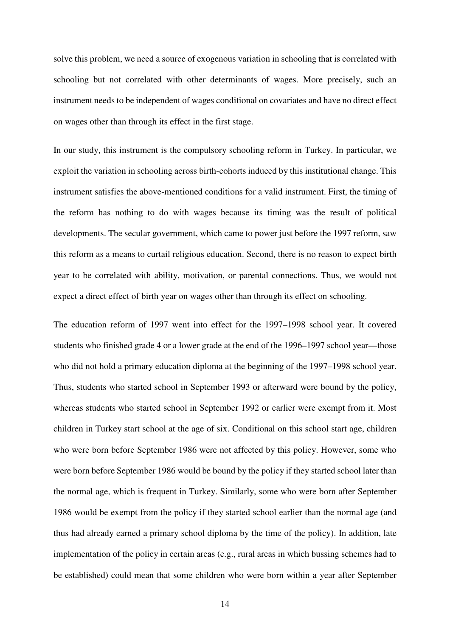solve this problem, we need a source of exogenous variation in schooling that is correlated with schooling but not correlated with other determinants of wages. More precisely, such an instrument needs to be independent of wages conditional on covariates and have no direct effect on wages other than through its effect in the first stage.

In our study, this instrument is the compulsory schooling reform in Turkey. In particular, we exploit the variation in schooling across birth-cohorts induced by this institutional change. This instrument satisfies the above-mentioned conditions for a valid instrument. First, the timing of the reform has nothing to do with wages because its timing was the result of political developments. The secular government, which came to power just before the 1997 reform, saw this reform as a means to curtail religious education. Second, there is no reason to expect birth year to be correlated with ability, motivation, or parental connections. Thus, we would not expect a direct effect of birth year on wages other than through its effect on schooling.

The education reform of 1997 went into effect for the 1997–1998 school year. It covered students who finished grade 4 or a lower grade at the end of the 1996–1997 school year—those who did not hold a primary education diploma at the beginning of the 1997–1998 school year. Thus, students who started school in September 1993 or afterward were bound by the policy, whereas students who started school in September 1992 or earlier were exempt from it. Most children in Turkey start school at the age of six. Conditional on this school start age, children who were born before September 1986 were not affected by this policy. However, some who were born before September 1986 would be bound by the policy if they started school later than the normal age, which is frequent in Turkey. Similarly, some who were born after September 1986 would be exempt from the policy if they started school earlier than the normal age (and thus had already earned a primary school diploma by the time of the policy). In addition, late implementation of the policy in certain areas (e.g., rural areas in which bussing schemes had to be established) could mean that some children who were born within a year after September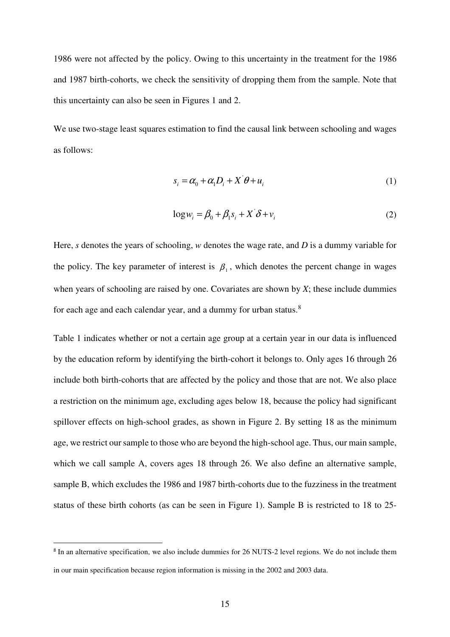1986 were not affected by the policy. Owing to this uncertainty in the treatment for the 1986 and 1987 birth-cohorts, we check the sensitivity of dropping them from the sample. Note that this uncertainty can also be seen in Figures 1 and 2.

We use two-stage least squares estimation to find the causal link between schooling and wages as follows:

$$
s_i = \alpha_0 + \alpha_1 D_i + X \theta + u_i \tag{1}
$$

$$
\log w_i = \beta_0 + \beta_1 s_i + X \delta + v_i \tag{2}
$$

Here, *s* denotes the years of schooling, *w* denotes the wage rate, and *D* is a dummy variable for the policy. The key parameter of interest is  $\beta_1$ , which denotes the percent change in wages when years of schooling are raised by one. Covariates are shown by *X*; these include dummies for each age and each calendar year, and a dummy for urban status.<sup>8</sup>

Table 1 indicates whether or not a certain age group at a certain year in our data is influenced by the education reform by identifying the birth-cohort it belongs to. Only ages 16 through 26 include both birth-cohorts that are affected by the policy and those that are not. We also place a restriction on the minimum age, excluding ages below 18, because the policy had significant spillover effects on high-school grades, as shown in Figure 2. By setting 18 as the minimum age, we restrict our sample to those who are beyond the high-school age. Thus, our main sample, which we call sample A, covers ages 18 through 26. We also define an alternative sample, sample B, which excludes the 1986 and 1987 birth-cohorts due to the fuzziness in the treatment status of these birth cohorts (as can be seen in Figure 1). Sample B is restricted to 18 to 25-

<sup>&</sup>lt;sup>8</sup> In an alternative specification, we also include dummies for 26 NUTS-2 level regions. We do not include them in our main specification because region information is missing in the 2002 and 2003 data.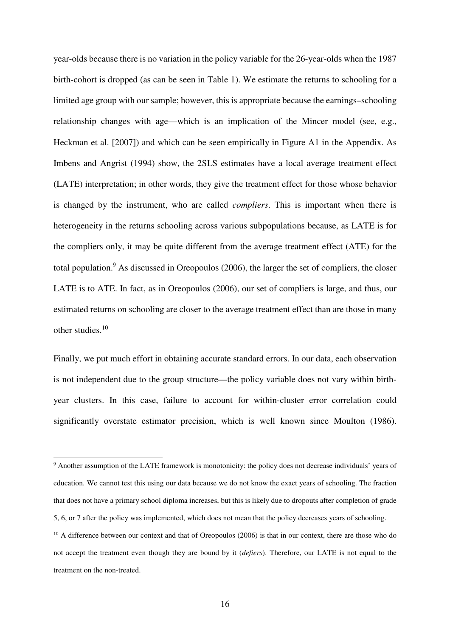year-olds because there is no variation in the policy variable for the 26-year-olds when the 1987 birth-cohort is dropped (as can be seen in Table 1). We estimate the returns to schooling for a limited age group with our sample; however, this is appropriate because the earnings–schooling relationship changes with age—which is an implication of the Mincer model (see, e.g., Heckman et al. [2007]) and which can be seen empirically in Figure A1 in the Appendix. As Imbens and Angrist (1994) show, the 2SLS estimates have a local average treatment effect (LATE) interpretation; in other words, they give the treatment effect for those whose behavior is changed by the instrument, who are called *compliers*. This is important when there is heterogeneity in the returns schooling across various subpopulations because, as LATE is for the compliers only, it may be quite different from the average treatment effect (ATE) for the total population.<sup>9</sup> As discussed in Oreopoulos (2006), the larger the set of compliers, the closer LATE is to ATE. In fact, as in Oreopoulos (2006), our set of compliers is large, and thus, our estimated returns on schooling are closer to the average treatment effect than are those in many other studies.<sup>10</sup>

Finally, we put much effort in obtaining accurate standard errors. In our data, each observation is not independent due to the group structure—the policy variable does not vary within birthyear clusters. In this case, failure to account for within-cluster error correlation could significantly overstate estimator precision, which is well known since Moulton (1986).

<sup>&</sup>lt;sup>9</sup> Another assumption of the LATE framework is monotonicity: the policy does not decrease individuals' years of education. We cannot test this using our data because we do not know the exact years of schooling. The fraction that does not have a primary school diploma increases, but this is likely due to dropouts after completion of grade 5, 6, or 7 after the policy was implemented, which does not mean that the policy decreases years of schooling.

 $10$  A difference between our context and that of Oreopoulos (2006) is that in our context, there are those who do not accept the treatment even though they are bound by it (*defiers*). Therefore, our LATE is not equal to the treatment on the non-treated.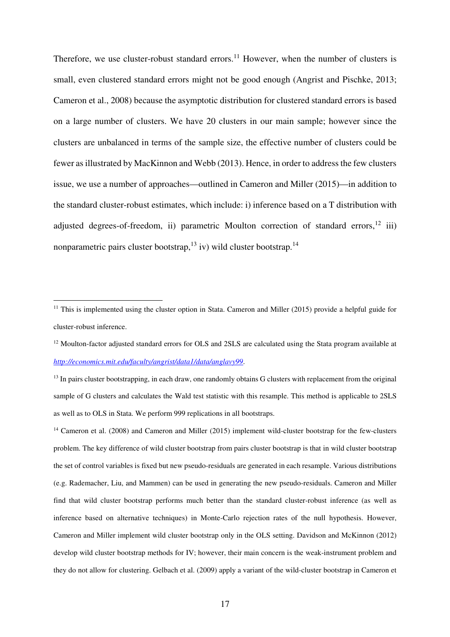Therefore, we use cluster-robust standard errors.<sup>11</sup> However, when the number of clusters is small, even clustered standard errors might not be good enough (Angrist and Pischke, 2013; Cameron et al., 2008) because the asymptotic distribution for clustered standard errors is based on a large number of clusters. We have 20 clusters in our main sample; however since the clusters are unbalanced in terms of the sample size, the effective number of clusters could be fewer as illustrated by MacKinnon and Webb (2013). Hence, in order to address the few clusters issue, we use a number of approaches—outlined in Cameron and Miller (2015)—in addition to the standard cluster-robust estimates, which include: i) inference based on a T distribution with adjusted degrees-of-freedom, ii) parametric Moulton correction of standard errors,  $^{12}$  iii) nonparametric pairs cluster bootstrap,<sup>13</sup> iv) wild cluster bootstrap.<sup>14</sup>

<sup>&</sup>lt;sup>11</sup> This is implemented using the cluster option in Stata. Cameron and Miller (2015) provide a helpful guide for cluster-robust inference.

 $12$  Moulton-factor adjusted standard errors for OLS and 2SLS are calculated using the Stata program available at *http://economics.mit.edu/faculty/angrist/data1/data/anglavy99*.

 $13$  In pairs cluster bootstrapping, in each draw, one randomly obtains G clusters with replacement from the original sample of G clusters and calculates the Wald test statistic with this resample. This method is applicable to 2SLS as well as to OLS in Stata. We perform 999 replications in all bootstraps.

<sup>&</sup>lt;sup>14</sup> Cameron et al. (2008) and Cameron and Miller (2015) implement wild-cluster bootstrap for the few-clusters problem. The key difference of wild cluster bootstrap from pairs cluster bootstrap is that in wild cluster bootstrap the set of control variables is fixed but new pseudo-residuals are generated in each resample. Various distributions (e.g. Rademacher, Liu, and Mammen) can be used in generating the new pseudo-residuals. Cameron and Miller find that wild cluster bootstrap performs much better than the standard cluster-robust inference (as well as inference based on alternative techniques) in Monte-Carlo rejection rates of the null hypothesis. However, Cameron and Miller implement wild cluster bootstrap only in the OLS setting. Davidson and McKinnon (2012) develop wild cluster bootstrap methods for IV; however, their main concern is the weak-instrument problem and they do not allow for clustering. Gelbach et al. (2009) apply a variant of the wild-cluster bootstrap in Cameron et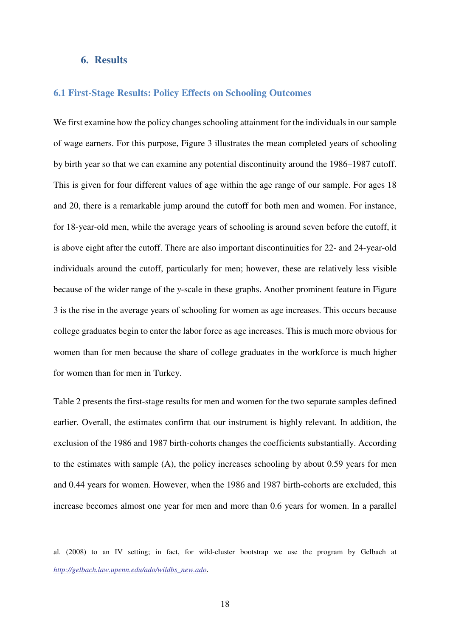#### **6. Results**

l

#### **6.1 First-Stage Results: Policy Effects on Schooling Outcomes**

We first examine how the policy changes schooling attainment for the individuals in our sample of wage earners. For this purpose, Figure 3 illustrates the mean completed years of schooling by birth year so that we can examine any potential discontinuity around the 1986–1987 cutoff. This is given for four different values of age within the age range of our sample. For ages 18 and 20, there is a remarkable jump around the cutoff for both men and women. For instance, for 18-year-old men, while the average years of schooling is around seven before the cutoff, it is above eight after the cutoff. There are also important discontinuities for 22- and 24-year-old individuals around the cutoff, particularly for men; however, these are relatively less visible because of the wider range of the *y*-scale in these graphs. Another prominent feature in Figure 3 is the rise in the average years of schooling for women as age increases. This occurs because college graduates begin to enter the labor force as age increases. This is much more obvious for women than for men because the share of college graduates in the workforce is much higher for women than for men in Turkey.

Table 2 presents the first-stage results for men and women for the two separate samples defined earlier. Overall, the estimates confirm that our instrument is highly relevant. In addition, the exclusion of the 1986 and 1987 birth-cohorts changes the coefficients substantially. According to the estimates with sample (A), the policy increases schooling by about 0.59 years for men and 0.44 years for women. However, when the 1986 and 1987 birth-cohorts are excluded, this increase becomes almost one year for men and more than 0.6 years for women. In a parallel

al. (2008) to an IV setting; in fact, for wild-cluster bootstrap we use the program by Gelbach at *http://gelbach.law.upenn.edu/ado/wildbs\_new.ado*.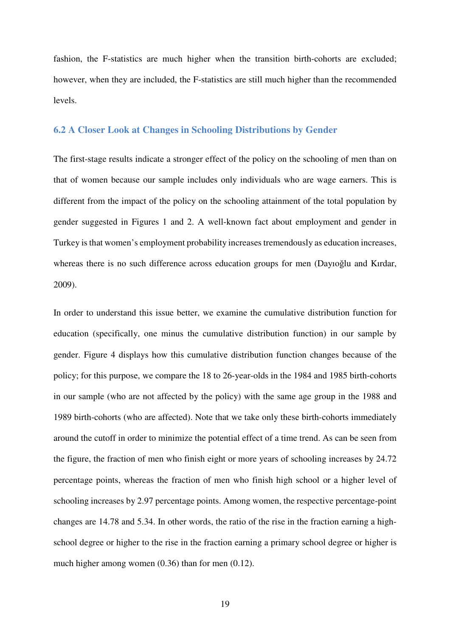fashion, the F-statistics are much higher when the transition birth-cohorts are excluded; however, when they are included, the F-statistics are still much higher than the recommended levels.

#### **6.2 A Closer Look at Changes in Schooling Distributions by Gender**

The first-stage results indicate a stronger effect of the policy on the schooling of men than on that of women because our sample includes only individuals who are wage earners. This is different from the impact of the policy on the schooling attainment of the total population by gender suggested in Figures 1 and 2. A well-known fact about employment and gender in Turkey is that women's employment probability increases tremendously as education increases, whereas there is no such difference across education groups for men (Dayıoğlu and Kırdar, 2009).

In order to understand this issue better, we examine the cumulative distribution function for education (specifically, one minus the cumulative distribution function) in our sample by gender. Figure 4 displays how this cumulative distribution function changes because of the policy; for this purpose, we compare the 18 to 26-year-olds in the 1984 and 1985 birth-cohorts in our sample (who are not affected by the policy) with the same age group in the 1988 and 1989 birth-cohorts (who are affected). Note that we take only these birth-cohorts immediately around the cutoff in order to minimize the potential effect of a time trend. As can be seen from the figure, the fraction of men who finish eight or more years of schooling increases by 24.72 percentage points, whereas the fraction of men who finish high school or a higher level of schooling increases by 2.97 percentage points. Among women, the respective percentage-point changes are 14.78 and 5.34. In other words, the ratio of the rise in the fraction earning a highschool degree or higher to the rise in the fraction earning a primary school degree or higher is much higher among women (0.36) than for men (0.12).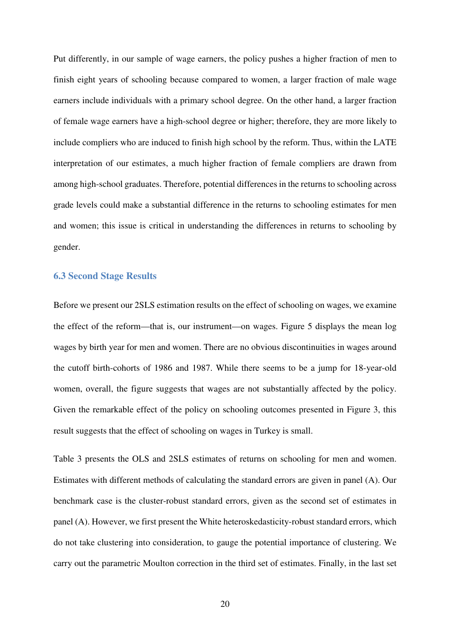Put differently, in our sample of wage earners, the policy pushes a higher fraction of men to finish eight years of schooling because compared to women, a larger fraction of male wage earners include individuals with a primary school degree. On the other hand, a larger fraction of female wage earners have a high-school degree or higher; therefore, they are more likely to include compliers who are induced to finish high school by the reform. Thus, within the LATE interpretation of our estimates, a much higher fraction of female compliers are drawn from among high-school graduates. Therefore, potential differences in the returns to schooling across grade levels could make a substantial difference in the returns to schooling estimates for men and women; this issue is critical in understanding the differences in returns to schooling by gender.

#### **6.3 Second Stage Results**

Before we present our 2SLS estimation results on the effect of schooling on wages, we examine the effect of the reform—that is, our instrument—on wages. Figure 5 displays the mean log wages by birth year for men and women. There are no obvious discontinuities in wages around the cutoff birth-cohorts of 1986 and 1987. While there seems to be a jump for 18-year-old women, overall, the figure suggests that wages are not substantially affected by the policy. Given the remarkable effect of the policy on schooling outcomes presented in Figure 3, this result suggests that the effect of schooling on wages in Turkey is small.

Table 3 presents the OLS and 2SLS estimates of returns on schooling for men and women. Estimates with different methods of calculating the standard errors are given in panel (A). Our benchmark case is the cluster-robust standard errors, given as the second set of estimates in panel (A). However, we first present the White heteroskedasticity-robust standard errors, which do not take clustering into consideration, to gauge the potential importance of clustering. We carry out the parametric Moulton correction in the third set of estimates. Finally, in the last set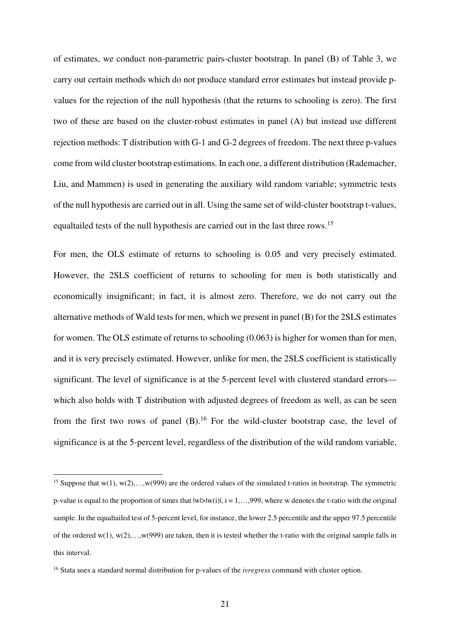of estimates, we conduct non-parametric pairs-cluster bootstrap. In panel (B) of Table 3, we carry out certain methods which do not produce standard error estimates but instead provide pvalues for the rejection of the null hypothesis (that the returns to schooling is zero). The first two of these are based on the cluster-robust estimates in panel (A) but instead use different rejection methods: T distribution with G-1 and G-2 degrees of freedom. The next three p-values come from wild cluster bootstrap estimations. In each one, a different distribution (Rademacher, Liu, and Mammen) is used in generating the auxiliary wild random variable; symmetric tests of the null hypothesis are carried out in all. Using the same set of wild-cluster bootstrap t-values, equaltailed tests of the null hypothesis are carried out in the last three rows.<sup>15</sup>

For men, the OLS estimate of returns to schooling is 0.05 and very precisely estimated. However, the 2SLS coefficient of returns to schooling for men is both statistically and economically insignificant; in fact, it is almost zero. Therefore, we do not carry out the alternative methods of Wald tests for men, which we present in panel (B) for the 2SLS estimates for women. The OLS estimate of returns to schooling (0.063) is higher for women than for men, and it is very precisely estimated. However, unlike for men, the 2SLS coefficient is statistically significant. The level of significance is at the 5-percent level with clustered standard errors which also holds with T distribution with adjusted degrees of freedom as well, as can be seen from the first two rows of panel  $(B)$ .<sup>16</sup> For the wild-cluster bootstrap case, the level of significance is at the 5-percent level, regardless of the distribution of the wild random variable,

<sup>&</sup>lt;sup>15</sup> Suppose that w(1), w(2),...,w(999) are the ordered values of the simulated t-ratios in bootstrap. The symmetric p-value is equal to the proportion of times that  $|w|>|w(i)|$ ,  $i = 1,...,999$ , where w denotes the t-ratio with the original sample. In the equaltailed test of 5-percent level, for instance, the lower 2.5 percentile and the upper 97.5 percentile of the ordered w(1), w(2),...,w(999) are taken, then it is tested whether the t-ratio with the original sample falls in this interval.

<sup>16</sup> Stata uses a standard normal distribution for p-values of the *ivregress* command with cluster option.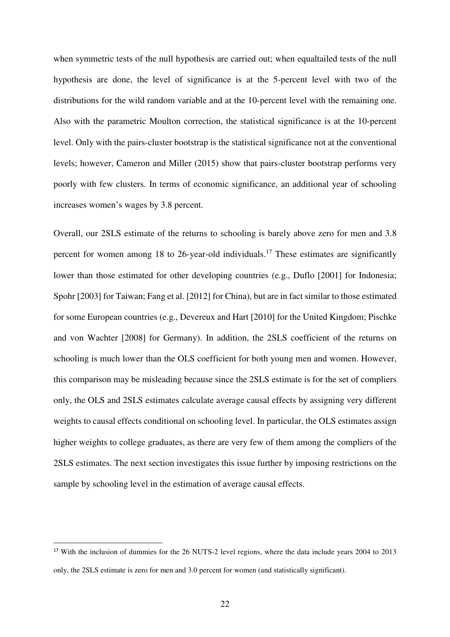when symmetric tests of the null hypothesis are carried out; when equaltailed tests of the null hypothesis are done, the level of significance is at the 5-percent level with two of the distributions for the wild random variable and at the 10-percent level with the remaining one. Also with the parametric Moulton correction, the statistical significance is at the 10-percent level. Only with the pairs-cluster bootstrap is the statistical significance not at the conventional levels; however, Cameron and Miller (2015) show that pairs-cluster bootstrap performs very poorly with few clusters. In terms of economic significance, an additional year of schooling increases women's wages by 3.8 percent.

Overall, our 2SLS estimate of the returns to schooling is barely above zero for men and 3.8 percent for women among 18 to 26-year-old individuals.<sup>17</sup> These estimates are significantly lower than those estimated for other developing countries (e.g., Duflo [2001] for Indonesia; Spohr [2003] for Taiwan; Fang et al. [2012] for China), but are in fact similar to those estimated for some European countries (e.g., Devereux and Hart [2010] for the United Kingdom; Pischke and von Wachter [2008] for Germany). In addition, the 2SLS coefficient of the returns on schooling is much lower than the OLS coefficient for both young men and women. However, this comparison may be misleading because since the 2SLS estimate is for the set of compliers only, the OLS and 2SLS estimates calculate average causal effects by assigning very different weights to causal effects conditional on schooling level. In particular, the OLS estimates assign higher weights to college graduates, as there are very few of them among the compliers of the 2SLS estimates. The next section investigates this issue further by imposing restrictions on the sample by schooling level in the estimation of average causal effects.

<sup>&</sup>lt;sup>17</sup> With the inclusion of dummies for the 26 NUTS-2 level regions, where the data include years 2004 to 2013 only, the 2SLS estimate is zero for men and 3.0 percent for women (and statistically significant).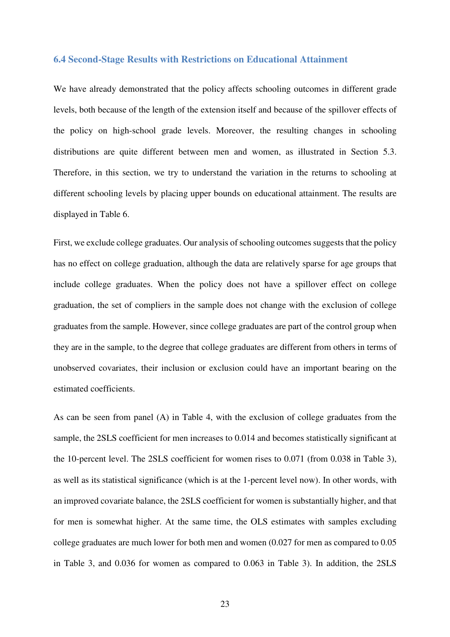#### **6.4 Second-Stage Results with Restrictions on Educational Attainment**

We have already demonstrated that the policy affects schooling outcomes in different grade levels, both because of the length of the extension itself and because of the spillover effects of the policy on high-school grade levels. Moreover, the resulting changes in schooling distributions are quite different between men and women, as illustrated in Section 5.3. Therefore, in this section, we try to understand the variation in the returns to schooling at different schooling levels by placing upper bounds on educational attainment. The results are displayed in Table 6.

First, we exclude college graduates. Our analysis of schooling outcomes suggests that the policy has no effect on college graduation, although the data are relatively sparse for age groups that include college graduates. When the policy does not have a spillover effect on college graduation, the set of compliers in the sample does not change with the exclusion of college graduates from the sample. However, since college graduates are part of the control group when they are in the sample, to the degree that college graduates are different from others in terms of unobserved covariates, their inclusion or exclusion could have an important bearing on the estimated coefficients.

As can be seen from panel (A) in Table 4, with the exclusion of college graduates from the sample, the 2SLS coefficient for men increases to 0.014 and becomes statistically significant at the 10-percent level. The 2SLS coefficient for women rises to 0.071 (from 0.038 in Table 3), as well as its statistical significance (which is at the 1-percent level now). In other words, with an improved covariate balance, the 2SLS coefficient for women is substantially higher, and that for men is somewhat higher. At the same time, the OLS estimates with samples excluding college graduates are much lower for both men and women (0.027 for men as compared to 0.05 in Table 3, and 0.036 for women as compared to 0.063 in Table 3). In addition, the 2SLS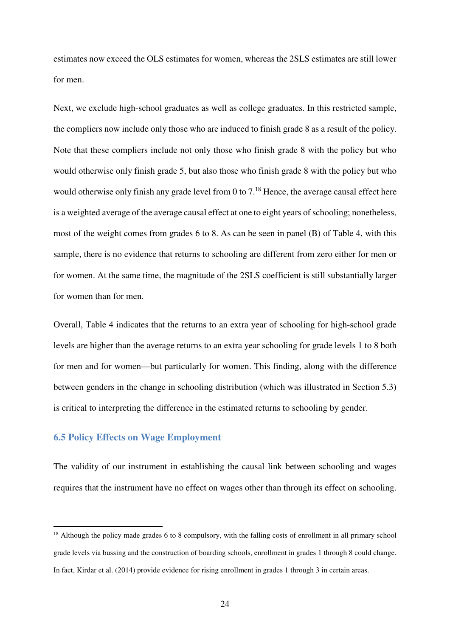estimates now exceed the OLS estimates for women, whereas the 2SLS estimates are still lower for men.

Next, we exclude high-school graduates as well as college graduates. In this restricted sample, the compliers now include only those who are induced to finish grade 8 as a result of the policy. Note that these compliers include not only those who finish grade 8 with the policy but who would otherwise only finish grade 5, but also those who finish grade 8 with the policy but who would otherwise only finish any grade level from 0 to  $7.^{18}$  Hence, the average causal effect here is a weighted average of the average causal effect at one to eight years of schooling; nonetheless, most of the weight comes from grades 6 to 8. As can be seen in panel (B) of Table 4, with this sample, there is no evidence that returns to schooling are different from zero either for men or for women. At the same time, the magnitude of the 2SLS coefficient is still substantially larger for women than for men.

Overall, Table 4 indicates that the returns to an extra year of schooling for high-school grade levels are higher than the average returns to an extra year schooling for grade levels 1 to 8 both for men and for women—but particularly for women. This finding, along with the difference between genders in the change in schooling distribution (which was illustrated in Section 5.3) is critical to interpreting the difference in the estimated returns to schooling by gender.

#### **6.5 Policy Effects on Wage Employment**

j

The validity of our instrument in establishing the causal link between schooling and wages requires that the instrument have no effect on wages other than through its effect on schooling.

<sup>&</sup>lt;sup>18</sup> Although the policy made grades 6 to 8 compulsory, with the falling costs of enrollment in all primary school grade levels via bussing and the construction of boarding schools, enrollment in grades 1 through 8 could change. In fact, Kirdar et al. (2014) provide evidence for rising enrollment in grades 1 through 3 in certain areas.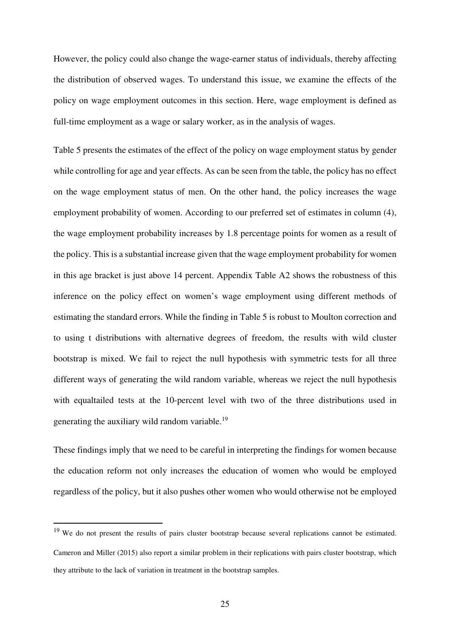However, the policy could also change the wage-earner status of individuals, thereby affecting the distribution of observed wages. To understand this issue, we examine the effects of the policy on wage employment outcomes in this section. Here, wage employment is defined as full-time employment as a wage or salary worker, as in the analysis of wages.

Table 5 presents the estimates of the effect of the policy on wage employment status by gender while controlling for age and year effects. As can be seen from the table, the policy has no effect on the wage employment status of men. On the other hand, the policy increases the wage employment probability of women. According to our preferred set of estimates in column (4), the wage employment probability increases by 1.8 percentage points for women as a result of the policy. This is a substantial increase given that the wage employment probability for women in this age bracket is just above 14 percent. Appendix Table A2 shows the robustness of this inference on the policy effect on women's wage employment using different methods of estimating the standard errors. While the finding in Table 5 is robust to Moulton correction and to using t distributions with alternative degrees of freedom, the results with wild cluster bootstrap is mixed. We fail to reject the null hypothesis with symmetric tests for all three different ways of generating the wild random variable, whereas we reject the null hypothesis with equaltailed tests at the 10-percent level with two of the three distributions used in generating the auxiliary wild random variable.<sup>19</sup>

These findings imply that we need to be careful in interpreting the findings for women because the education reform not only increases the education of women who would be employed regardless of the policy, but it also pushes other women who would otherwise not be employed

<sup>&</sup>lt;sup>19</sup> We do not present the results of pairs cluster bootstrap because several replications cannot be estimated. Cameron and Miller (2015) also report a similar problem in their replications with pairs cluster bootstrap, which they attribute to the lack of variation in treatment in the bootstrap samples.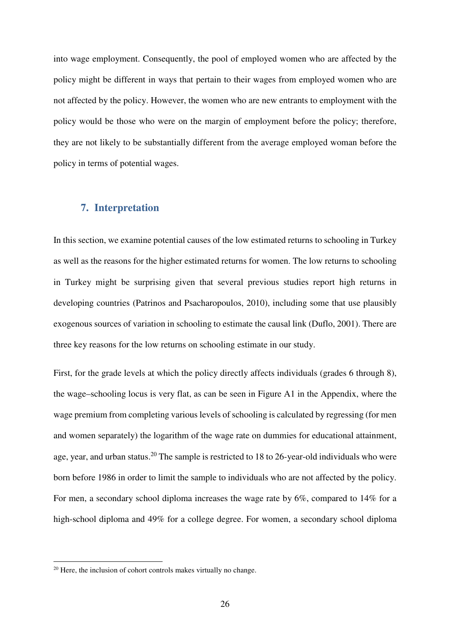into wage employment. Consequently, the pool of employed women who are affected by the policy might be different in ways that pertain to their wages from employed women who are not affected by the policy. However, the women who are new entrants to employment with the policy would be those who were on the margin of employment before the policy; therefore, they are not likely to be substantially different from the average employed woman before the policy in terms of potential wages.

# **7. Interpretation**

In this section, we examine potential causes of the low estimated returns to schooling in Turkey as well as the reasons for the higher estimated returns for women. The low returns to schooling in Turkey might be surprising given that several previous studies report high returns in developing countries (Patrinos and Psacharopoulos, 2010), including some that use plausibly exogenous sources of variation in schooling to estimate the causal link (Duflo, 2001). There are three key reasons for the low returns on schooling estimate in our study.

First, for the grade levels at which the policy directly affects individuals (grades 6 through 8), the wage–schooling locus is very flat, as can be seen in Figure A1 in the Appendix, where the wage premium from completing various levels of schooling is calculated by regressing (for men and women separately) the logarithm of the wage rate on dummies for educational attainment, age, year, and urban status.<sup>20</sup> The sample is restricted to 18 to 26-year-old individuals who were born before 1986 in order to limit the sample to individuals who are not affected by the policy. For men, a secondary school diploma increases the wage rate by 6%, compared to 14% for a high-school diploma and 49% for a college degree. For women, a secondary school diploma

<sup>&</sup>lt;sup>20</sup> Here, the inclusion of cohort controls makes virtually no change.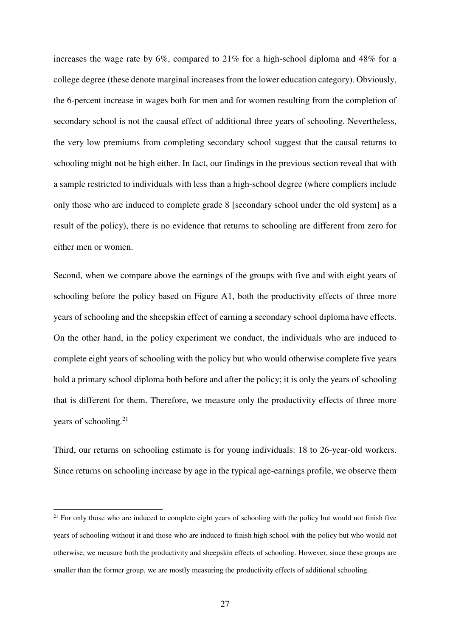increases the wage rate by 6%, compared to 21% for a high-school diploma and 48% for a college degree (these denote marginal increases from the lower education category). Obviously, the 6-percent increase in wages both for men and for women resulting from the completion of secondary school is not the causal effect of additional three years of schooling. Nevertheless, the very low premiums from completing secondary school suggest that the causal returns to schooling might not be high either. In fact, our findings in the previous section reveal that with a sample restricted to individuals with less than a high-school degree (where compliers include only those who are induced to complete grade 8 [secondary school under the old system] as a result of the policy), there is no evidence that returns to schooling are different from zero for either men or women.

Second, when we compare above the earnings of the groups with five and with eight years of schooling before the policy based on Figure A1, both the productivity effects of three more years of schooling and the sheepskin effect of earning a secondary school diploma have effects. On the other hand, in the policy experiment we conduct, the individuals who are induced to complete eight years of schooling with the policy but who would otherwise complete five years hold a primary school diploma both before and after the policy; it is only the years of schooling that is different for them. Therefore, we measure only the productivity effects of three more years of schooling.<sup>21</sup>

Third, our returns on schooling estimate is for young individuals: 18 to 26-year-old workers. Since returns on schooling increase by age in the typical age-earnings profile, we observe them

 $21$  For only those who are induced to complete eight years of schooling with the policy but would not finish five years of schooling without it and those who are induced to finish high school with the policy but who would not otherwise, we measure both the productivity and sheepskin effects of schooling. However, since these groups are smaller than the former group, we are mostly measuring the productivity effects of additional schooling.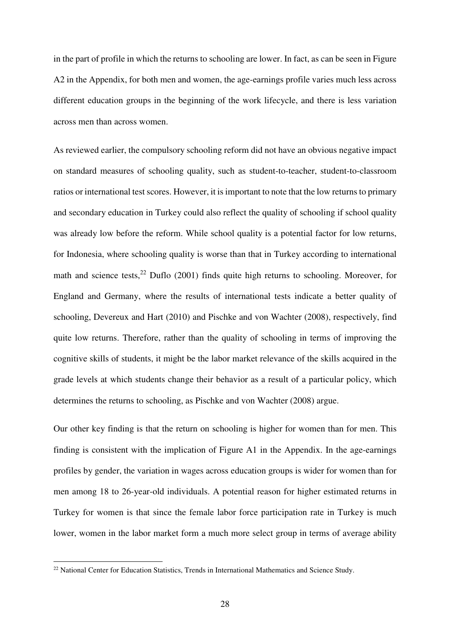in the part of profile in which the returns to schooling are lower. In fact, as can be seen in Figure A2 in the Appendix, for both men and women, the age-earnings profile varies much less across different education groups in the beginning of the work lifecycle, and there is less variation across men than across women.

As reviewed earlier, the compulsory schooling reform did not have an obvious negative impact on standard measures of schooling quality, such as student-to-teacher, student-to-classroom ratios or international test scores. However, it is important to note that the low returns to primary and secondary education in Turkey could also reflect the quality of schooling if school quality was already low before the reform. While school quality is a potential factor for low returns, for Indonesia, where schooling quality is worse than that in Turkey according to international math and science tests,  $22$  Duflo (2001) finds quite high returns to schooling. Moreover, for England and Germany, where the results of international tests indicate a better quality of schooling, Devereux and Hart (2010) and Pischke and von Wachter (2008), respectively, find quite low returns. Therefore, rather than the quality of schooling in terms of improving the cognitive skills of students, it might be the labor market relevance of the skills acquired in the grade levels at which students change their behavior as a result of a particular policy, which determines the returns to schooling, as Pischke and von Wachter (2008) argue.

Our other key finding is that the return on schooling is higher for women than for men. This finding is consistent with the implication of Figure A1 in the Appendix. In the age-earnings profiles by gender, the variation in wages across education groups is wider for women than for men among 18 to 26-year-old individuals. A potential reason for higher estimated returns in Turkey for women is that since the female labor force participation rate in Turkey is much lower, women in the labor market form a much more select group in terms of average ability

<sup>&</sup>lt;sup>22</sup> National Center for Education Statistics, Trends in International Mathematics and Science Study.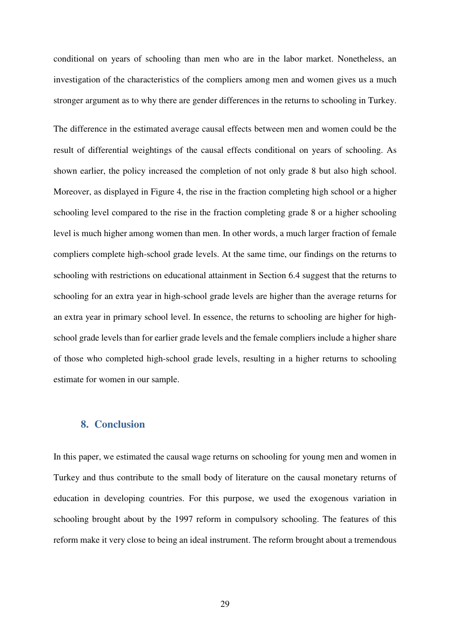conditional on years of schooling than men who are in the labor market. Nonetheless, an investigation of the characteristics of the compliers among men and women gives us a much stronger argument as to why there are gender differences in the returns to schooling in Turkey.

The difference in the estimated average causal effects between men and women could be the result of differential weightings of the causal effects conditional on years of schooling. As shown earlier, the policy increased the completion of not only grade 8 but also high school. Moreover, as displayed in Figure 4, the rise in the fraction completing high school or a higher schooling level compared to the rise in the fraction completing grade 8 or a higher schooling level is much higher among women than men. In other words, a much larger fraction of female compliers complete high-school grade levels. At the same time, our findings on the returns to schooling with restrictions on educational attainment in Section 6.4 suggest that the returns to schooling for an extra year in high-school grade levels are higher than the average returns for an extra year in primary school level. In essence, the returns to schooling are higher for highschool grade levels than for earlier grade levels and the female compliers include a higher share of those who completed high-school grade levels, resulting in a higher returns to schooling estimate for women in our sample.

# **8. Conclusion**

In this paper, we estimated the causal wage returns on schooling for young men and women in Turkey and thus contribute to the small body of literature on the causal monetary returns of education in developing countries. For this purpose, we used the exogenous variation in schooling brought about by the 1997 reform in compulsory schooling. The features of this reform make it very close to being an ideal instrument. The reform brought about a tremendous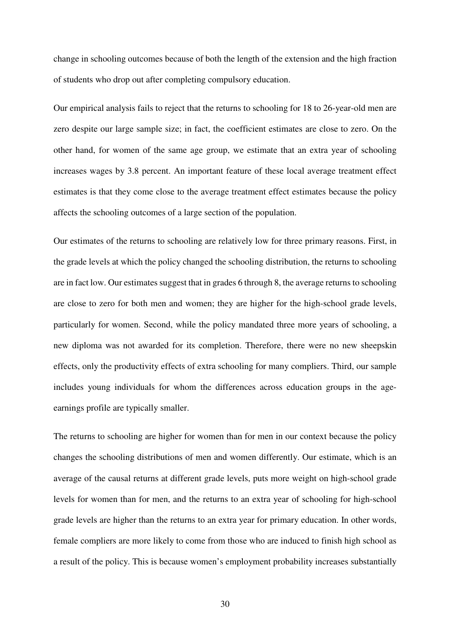change in schooling outcomes because of both the length of the extension and the high fraction of students who drop out after completing compulsory education.

Our empirical analysis fails to reject that the returns to schooling for 18 to 26-year-old men are zero despite our large sample size; in fact, the coefficient estimates are close to zero. On the other hand, for women of the same age group, we estimate that an extra year of schooling increases wages by 3.8 percent. An important feature of these local average treatment effect estimates is that they come close to the average treatment effect estimates because the policy affects the schooling outcomes of a large section of the population.

Our estimates of the returns to schooling are relatively low for three primary reasons. First, in the grade levels at which the policy changed the schooling distribution, the returns to schooling are in fact low. Our estimates suggest that in grades 6 through 8, the average returns to schooling are close to zero for both men and women; they are higher for the high-school grade levels, particularly for women. Second, while the policy mandated three more years of schooling, a new diploma was not awarded for its completion. Therefore, there were no new sheepskin effects, only the productivity effects of extra schooling for many compliers. Third, our sample includes young individuals for whom the differences across education groups in the ageearnings profile are typically smaller.

The returns to schooling are higher for women than for men in our context because the policy changes the schooling distributions of men and women differently. Our estimate, which is an average of the causal returns at different grade levels, puts more weight on high-school grade levels for women than for men, and the returns to an extra year of schooling for high-school grade levels are higher than the returns to an extra year for primary education. In other words, female compliers are more likely to come from those who are induced to finish high school as a result of the policy. This is because women's employment probability increases substantially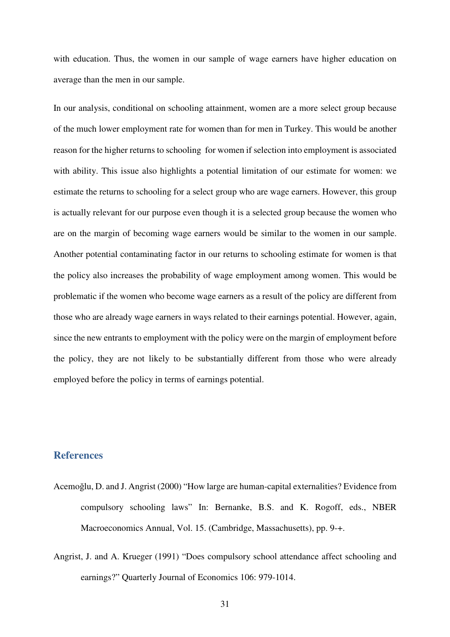with education. Thus, the women in our sample of wage earners have higher education on average than the men in our sample.

In our analysis, conditional on schooling attainment, women are a more select group because of the much lower employment rate for women than for men in Turkey. This would be another reason for the higher returns to schooling for women if selection into employment is associated with ability. This issue also highlights a potential limitation of our estimate for women: we estimate the returns to schooling for a select group who are wage earners. However, this group is actually relevant for our purpose even though it is a selected group because the women who are on the margin of becoming wage earners would be similar to the women in our sample. Another potential contaminating factor in our returns to schooling estimate for women is that the policy also increases the probability of wage employment among women. This would be problematic if the women who become wage earners as a result of the policy are different from those who are already wage earners in ways related to their earnings potential. However, again, since the new entrants to employment with the policy were on the margin of employment before the policy, they are not likely to be substantially different from those who were already employed before the policy in terms of earnings potential.

### **References**

- Acemoğlu, D. and J. Angrist (2000) "How large are human-capital externalities? Evidence from compulsory schooling laws" In: Bernanke, B.S. and K. Rogoff, eds., NBER Macroeconomics Annual, Vol. 15. (Cambridge, Massachusetts), pp. 9-+.
- Angrist, J. and A. Krueger (1991) "Does compulsory school attendance affect schooling and earnings?" Quarterly Journal of Economics 106: 979-1014.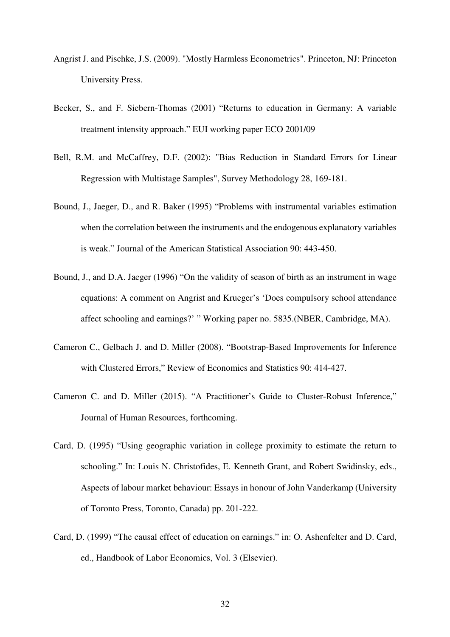- Angrist J. and Pischke, J.S. (2009). "Mostly Harmless Econometrics". Princeton, NJ: Princeton University Press.
- Becker, S., and F. Siebern-Thomas (2001) "Returns to education in Germany: A variable treatment intensity approach." EUI working paper ECO 2001/09
- Bell, R.M. and McCaffrey, D.F. (2002): "Bias Reduction in Standard Errors for Linear Regression with Multistage Samples", Survey Methodology 28, 169-181.
- Bound, J., Jaeger, D., and R. Baker (1995) "Problems with instrumental variables estimation when the correlation between the instruments and the endogenous explanatory variables is weak." Journal of the American Statistical Association 90: 443-450.
- Bound, J., and D.A. Jaeger (1996) "On the validity of season of birth as an instrument in wage equations: A comment on Angrist and Krueger's 'Does compulsory school attendance affect schooling and earnings?' " Working paper no. 5835.(NBER, Cambridge, MA).
- Cameron C., Gelbach J. and D. Miller (2008). "Bootstrap-Based Improvements for Inference with Clustered Errors," Review of Economics and Statistics 90: 414-427.
- Cameron C. and D. Miller (2015). "A Practitioner's Guide to Cluster-Robust Inference," Journal of Human Resources, forthcoming.
- Card, D. (1995) "Using geographic variation in college proximity to estimate the return to schooling." In: Louis N. Christofides, E. Kenneth Grant, and Robert Swidinsky, eds., Aspects of labour market behaviour: Essays in honour of John Vanderkamp (University of Toronto Press, Toronto, Canada) pp. 201-222.
- Card, D. (1999) "The causal effect of education on earnings." in: O. Ashenfelter and D. Card, ed., Handbook of Labor Economics, Vol. 3 (Elsevier).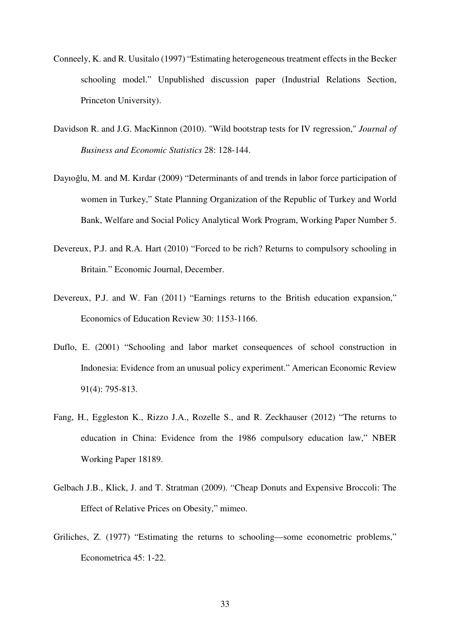- Conneely, K. and R. Uusitalo (1997) "Estimating heterogeneous treatment effects in the Becker schooling model." Unpublished discussion paper (Industrial Relations Section, Princeton University).
- Davidson R. and J.G. MacKinnon (2010). "Wild bootstrap tests for IV regression," *Journal of Business and Economic Statistics* 28: 128-144.
- Dayıoğlu, M. and M. Kırdar (2009) "Determinants of and trends in labor force participation of women in Turkey," State Planning Organization of the Republic of Turkey and World Bank, Welfare and Social Policy Analytical Work Program, Working Paper Number 5.
- Devereux, P.J. and R.A. Hart (2010) "Forced to be rich? Returns to compulsory schooling in Britain." Economic Journal, December.
- Devereux, P.J. and W. Fan (2011) "Earnings returns to the British education expansion," Economics of Education Review 30: 1153-1166.
- Duflo, E. (2001) "Schooling and labor market consequences of school construction in Indonesia: Evidence from an unusual policy experiment." American Economic Review 91(4): 795-813.
- Fang, H., Eggleston K., Rizzo J.A., Rozelle S., and R. Zeckhauser (2012) "The returns to education in China: Evidence from the 1986 compulsory education law," NBER Working Paper 18189.
- Gelbach J.B., Klick, J. and T. Stratman (2009). "Cheap Donuts and Expensive Broccoli: The Effect of Relative Prices on Obesity," mimeo.
- Griliches, Z. (1977) "Estimating the returns to schooling—some econometric problems," Econometrica 45: 1-22.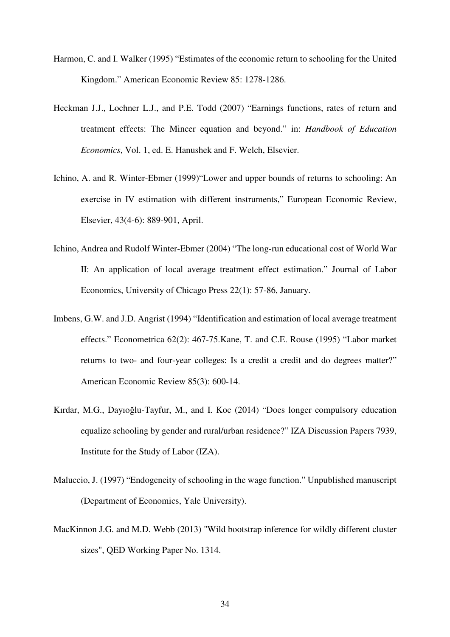- Harmon, C. and I. Walker (1995) "Estimates of the economic return to schooling for the United Kingdom." American Economic Review 85: 1278-1286.
- Heckman J.J., Lochner L.J., and P.E. Todd (2007) "Earnings functions, rates of return and treatment effects: The Mincer equation and beyond." in: *Handbook of Education Economics*, Vol. 1, ed. E. Hanushek and F. Welch, Elsevier.
- Ichino, A. and R. Winter-Ebmer (1999)"Lower and upper bounds of returns to schooling: An exercise in IV estimation with different instruments," European Economic Review, Elsevier, 43(4-6): 889-901, April.
- Ichino, Andrea and Rudolf Winter-Ebmer (2004) "The long-run educational cost of World War II: An application of local average treatment effect estimation." Journal of Labor Economics, University of Chicago Press 22(1): 57-86, January.
- Imbens, G.W. and J.D. Angrist (1994) "Identification and estimation of local average treatment effects." Econometrica 62(2): 467-75.Kane, T. and C.E. Rouse (1995) "Labor market returns to two- and four-year colleges: Is a credit a credit and do degrees matter?" American Economic Review 85(3): 600-14.
- Kırdar, M.G., Dayıoğlu-Tayfur, M., and I. Koc (2014) "Does longer compulsory education equalize schooling by gender and rural/urban residence?" IZA Discussion Papers 7939, Institute for the Study of Labor (IZA).
- Maluccio, J. (1997) "Endogeneity of schooling in the wage function." Unpublished manuscript (Department of Economics, Yale University).
- MacKinnon J.G. and M.D. Webb (2013) "Wild bootstrap inference for wildly different cluster sizes", QED Working Paper No. 1314.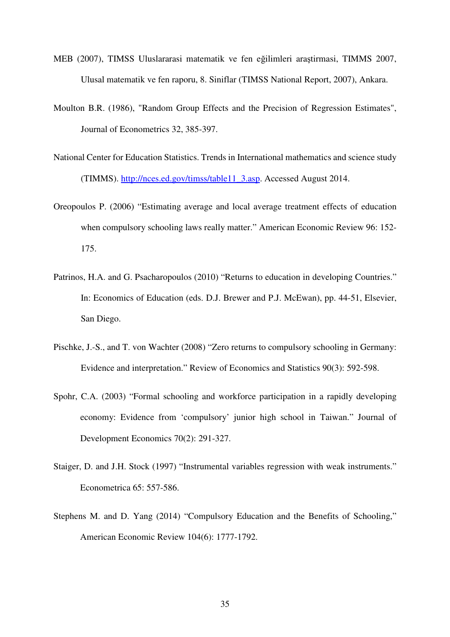- MEB (2007), TIMSS Uluslararasi matematik ve fen eğilimleri araştirmasi, TIMMS 2007, Ulusal matematik ve fen raporu, 8. Siniflar (TIMSS National Report, 2007), Ankara.
- Moulton B.R. (1986), "Random Group Effects and the Precision of Regression Estimates", Journal of Econometrics 32, 385-397.
- National Center for Education Statistics. Trends in International mathematics and science study (TIMMS). http://nces.ed.gov/timss/table11\_3.asp. Accessed August 2014.
- Oreopoulos P. (2006) "Estimating average and local average treatment effects of education when compulsory schooling laws really matter." American Economic Review 96: 152- 175.
- Patrinos, H.A. and G. Psacharopoulos (2010) "Returns to education in developing Countries." In: Economics of Education (eds. D.J. Brewer and P.J. McEwan), pp. 44-51, Elsevier, San Diego.
- Pischke, J.-S., and T. von Wachter (2008) "Zero returns to compulsory schooling in Germany: Evidence and interpretation." Review of Economics and Statistics 90(3): 592-598.
- Spohr, C.A. (2003) "Formal schooling and workforce participation in a rapidly developing economy: Evidence from 'compulsory' junior high school in Taiwan." Journal of Development Economics 70(2): 291-327.
- Staiger, D. and J.H. Stock (1997) "Instrumental variables regression with weak instruments." Econometrica 65: 557-586.
- Stephens M. and D. Yang (2014) "Compulsory Education and the Benefits of Schooling," American Economic Review 104(6): 1777-1792.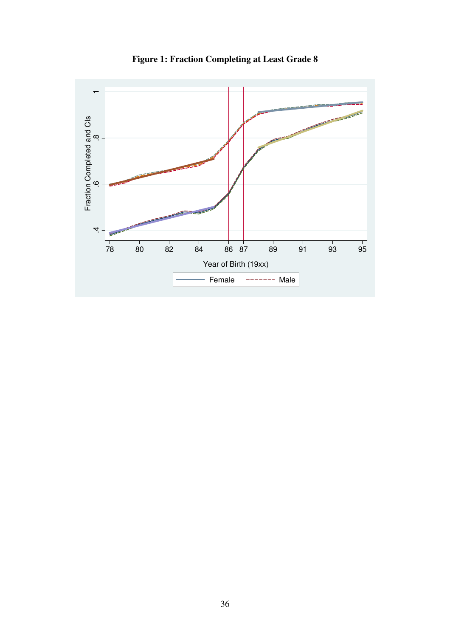

**Figure 1: Fraction Completing at Least Grade 8**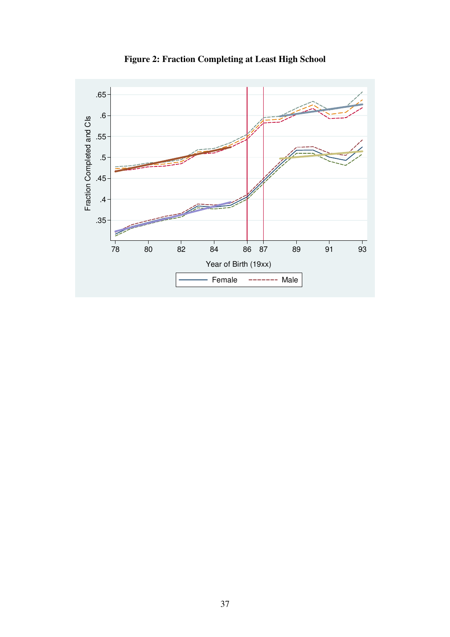

**Figure 2: Fraction Completing at Least High School**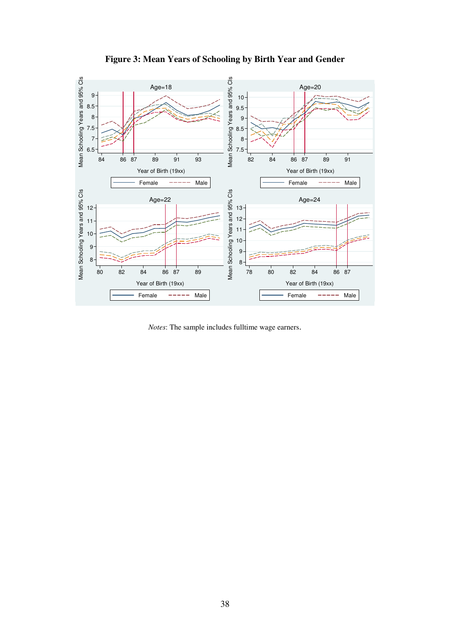

**Figure 3: Mean Years of Schooling by Birth Year and Gender** 

*Notes*: The sample includes fulltime wage earners.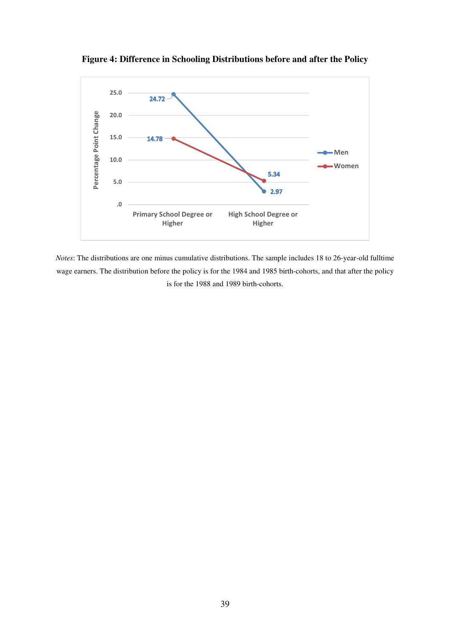**Figure 4: Difference in Schooling Distributions before and after the Policy** 



*Notes*: The distributions are one minus cumulative distributions. The sample includes 18 to 26-year-old fulltime wage earners. The distribution before the policy is for the 1984 and 1985 birth-cohorts, and that after the policy is for the 1988 and 1989 birth-cohorts.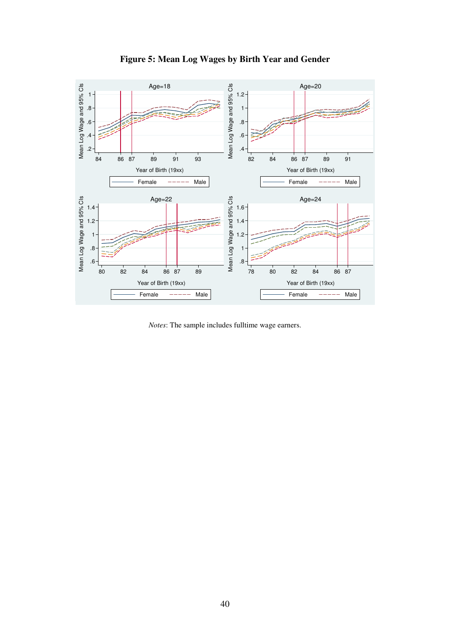

**Figure 5: Mean Log Wages by Birth Year and Gender** 

*Notes*: The sample includes fulltime wage earners.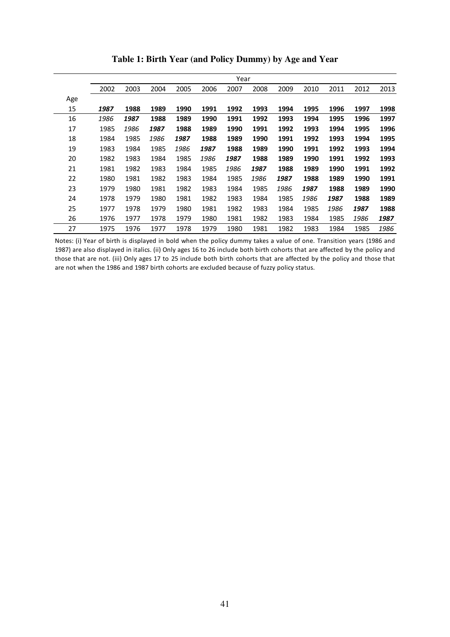|     |      | Year |      |      |      |      |      |      |      |      |      |      |
|-----|------|------|------|------|------|------|------|------|------|------|------|------|
|     | 2002 | 2003 | 2004 | 2005 | 2006 | 2007 | 2008 | 2009 | 2010 | 2011 | 2012 | 2013 |
| Age |      |      |      |      |      |      |      |      |      |      |      |      |
| 15  | 1987 | 1988 | 1989 | 1990 | 1991 | 1992 | 1993 | 1994 | 1995 | 1996 | 1997 | 1998 |
| 16  | 1986 | 1987 | 1988 | 1989 | 1990 | 1991 | 1992 | 1993 | 1994 | 1995 | 1996 | 1997 |
| 17  | 1985 | 1986 | 1987 | 1988 | 1989 | 1990 | 1991 | 1992 | 1993 | 1994 | 1995 | 1996 |
| 18  | 1984 | 1985 | 1986 | 1987 | 1988 | 1989 | 1990 | 1991 | 1992 | 1993 | 1994 | 1995 |
| 19  | 1983 | 1984 | 1985 | 1986 | 1987 | 1988 | 1989 | 1990 | 1991 | 1992 | 1993 | 1994 |
| 20  | 1982 | 1983 | 1984 | 1985 | 1986 | 1987 | 1988 | 1989 | 1990 | 1991 | 1992 | 1993 |
| 21  | 1981 | 1982 | 1983 | 1984 | 1985 | 1986 | 1987 | 1988 | 1989 | 1990 | 1991 | 1992 |
| 22  | 1980 | 1981 | 1982 | 1983 | 1984 | 1985 | 1986 | 1987 | 1988 | 1989 | 1990 | 1991 |
| 23  | 1979 | 1980 | 1981 | 1982 | 1983 | 1984 | 1985 | 1986 | 1987 | 1988 | 1989 | 1990 |
| 24  | 1978 | 1979 | 1980 | 1981 | 1982 | 1983 | 1984 | 1985 | 1986 | 1987 | 1988 | 1989 |
| 25  | 1977 | 1978 | 1979 | 1980 | 1981 | 1982 | 1983 | 1984 | 1985 | 1986 | 1987 | 1988 |
| 26  | 1976 | 1977 | 1978 | 1979 | 1980 | 1981 | 1982 | 1983 | 1984 | 1985 | 1986 | 1987 |
| 27  | 1975 | 1976 | 1977 | 1978 | 1979 | 1980 | 1981 | 1982 | 1983 | 1984 | 1985 | 1986 |

**Table 1: Birth Year (and Policy Dummy) by Age and Year** 

Notes: (i) Year of birth is displayed in bold when the policy dummy takes a value of one. Transition years (1986 and 1987) are also displayed in italics. (ii) Only ages 16 to 26 include both birth cohorts that are affected by the policy and those that are not. (iii) Only ages 17 to 25 include both birth cohorts that are affected by the policy and those that are not when the 1986 and 1987 birth cohorts are excluded because of fuzzy policy status.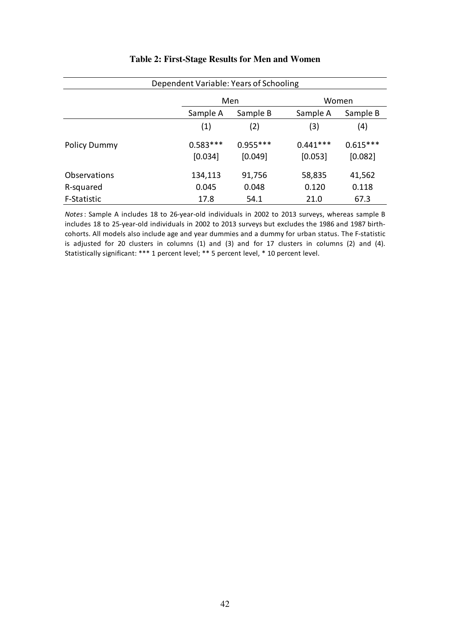| Dependent Variable: Years of Schooling |                       |                       |                       |                       |  |
|----------------------------------------|-----------------------|-----------------------|-----------------------|-----------------------|--|
|                                        |                       | Men                   | Women                 |                       |  |
|                                        | Sample A              | Sample B              | Sample A              | Sample B              |  |
|                                        | (1)                   | (2)                   | (3)                   | (4)                   |  |
| <b>Policy Dummy</b>                    | $0.583***$<br>[0.034] | $0.955***$<br>[0.049] | $0.441***$<br>[0.053] | $0.615***$<br>[0.082] |  |
| Observations                           | 134,113               | 91,756                | 58,835                | 41,562                |  |
| R-squared                              | 0.045                 | 0.048                 | 0.120                 | 0.118                 |  |
| F-Statistic                            | 17.8                  | 54.1                  | 21.0                  | 67.3                  |  |

#### **Table 2: First-Stage Results for Men and Women**

*Notes*: Sample A includes 18 to 26-year-old individuals in 2002 to 2013 surveys, whereas sample B includes 18 to 25-year-old individuals in 2002 to 2013 surveys but excludes the 1986 and 1987 birthcohorts. All models also include age and year dummies and a dummy for urban status. The F-statistic is adjusted for 20 clusters in columns (1) and (3) and for 17 clusters in columns (2) and (4). Statistically significant: \*\*\* 1 percent level; \*\* 5 percent level, \* 10 percent level.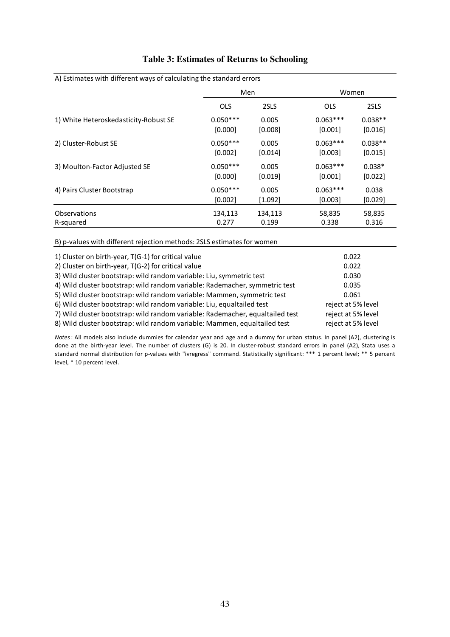| A) Estimates with different ways of calculating the standard errors                                        | Men        |           | Women      |                |  |
|------------------------------------------------------------------------------------------------------------|------------|-----------|------------|----------------|--|
|                                                                                                            | <b>OLS</b> | 2SLS      | <b>OLS</b> | 2SLS           |  |
| 1) White Heteroskedasticity-Robust SE                                                                      | $0.050***$ | 0.005     | $0.063***$ | $0.038**$      |  |
|                                                                                                            | [0.000]    | [0.008]   | [0.001]    | [0.016]        |  |
| 2) Cluster-Robust SE                                                                                       | $0.050***$ | 0.005     | $0.063***$ | $0.038**$      |  |
|                                                                                                            | [0.002]    | [0.014]   | [0.003]    | [0.015]        |  |
| 3) Moulton-Factor Adjusted SE                                                                              | $0.050***$ | 0.005     | $0.063***$ | $0.038*$       |  |
|                                                                                                            | [0.000]    | [0.019]   | [0.001]    | [0.022]        |  |
| 4) Pairs Cluster Bootstrap                                                                                 | $0.050***$ | 0.005     | $0.063***$ | 0.038          |  |
|                                                                                                            | [0.002]    | $[1.092]$ | [0.003]    | [0.029]        |  |
| Observations                                                                                               | 134,113    | 134,113   | 58,835     | 58,835         |  |
| R-squared                                                                                                  | 0.277      | 0.199     | 0.338      | 0.316          |  |
| B) p-values with different rejection methods: 2SLS estimates for women                                     |            |           |            |                |  |
| 1) Cluster on birth-year, T(G-1) for critical value<br>2) Cluster on birth-year, T(G-2) for critical value |            |           |            | 0.022<br>0.022 |  |
| 3) Wild cluster bootstrap: wild random variable: Liu, symmetric test                                       | 0.030      |           |            |                |  |

#### **Table 3: Estimates of Returns to Schooling**

4) Wild cluster bootstrap: wild random variable: Rademacher, symmetric test 5) Wild cluster bootstrap: wild random variable: Mammen, symmetric test 6) Wild cluster bootstrap: wild random variable: Liu, equaltailed test 7) Wild cluster bootstrap: wild random variable: Rademacher, equaltailed test 8) Wild cluster bootstrap: wild random variable: Mammen, equaltailed test 0.035 0.061 reject at 5% level reject at 5% level reject at 5% level

*Notes*: All models also include dummies for calendar year and age and a dummy for urban status. In panel (A2), clustering is done at the birth-year level. The number of clusters (G) is 20. In cluster-robust standard errors in panel (A2), Stata uses a standard normal distribution for p-values with "ivregress" command. Statistically significant: \*\*\* 1 percent level; \*\* 5 percent level, \* 10 percent level.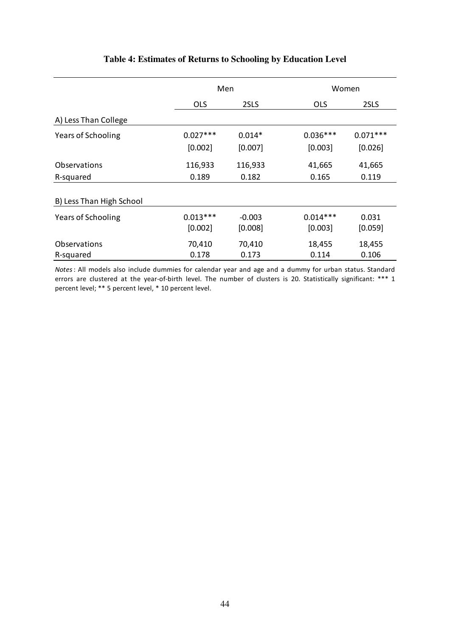|                                  | Men                   |                     | Women                 |                  |
|----------------------------------|-----------------------|---------------------|-----------------------|------------------|
|                                  | <b>OLS</b>            | 2SLS                | <b>OLS</b>            | 2SLS             |
| A) Less Than College             |                       |                     |                       |                  |
| <b>Years of Schooling</b>        | $0.027***$            | $0.014*$            | $0.036***$            | $0.071***$       |
|                                  | [0.002]               | [0.007]             | [0.003]               | [0.026]          |
| <b>Observations</b>              | 116,933               | 116,933             | 41,665                | 41,665           |
| R-squared                        | 0.189                 | 0.182               | 0.165                 | 0.119            |
| B) Less Than High School         |                       |                     |                       |                  |
| Years of Schooling               | $0.013***$<br>[0.002] | $-0.003$<br>[0.008] | $0.014***$<br>[0.003] | 0.031<br>[0.059] |
| <b>Observations</b><br>R-squared | 70,410<br>0.178       | 70,410<br>0.173     | 18,455<br>0.114       | 18,455<br>0.106  |

# **Table 4: Estimates of Returns to Schooling by Education Level**

*Notes*: All models also include dummies for calendar year and age and a dummy for urban status. Standard errors are clustered at the year-of-birth level. The number of clusters is 20. Statistically significant: \*\*\* 1 percent level; \*\* 5 percent level, \* 10 percent level.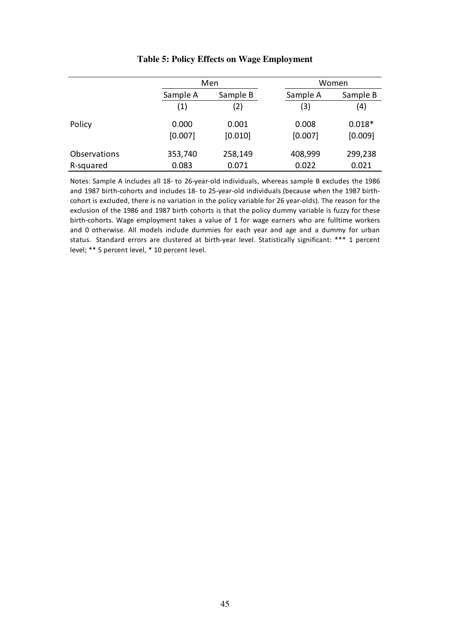|              |          | Men      |          | Women    |  |
|--------------|----------|----------|----------|----------|--|
|              | Sample A | Sample B | Sample A | Sample B |  |
|              | (1)      | (2)      | (3)      | (4)      |  |
| Policy       | 0.000    | 0.001    | 0.008    | $0.018*$ |  |
|              | [0.007]  | [0.010]  | [0.007]  | [0.009]  |  |
| Observations | 353,740  | 258,149  | 408,999  | 299,238  |  |
| R-squared    | 0.083    | 0.071    | 0.022    | 0.021    |  |

#### **Table 5: Policy Effects on Wage Employment**

Notes: Sample A includes all 18- to 26-year-old individuals, whereas sample B excludes the 1986 and 1987 birth-cohorts and includes 18- to 25-year-old individuals (because when the 1987 birthcohort is excluded, there is no variation in the policy variable for 26 year-olds). The reason for the exclusion of the 1986 and 1987 birth cohorts is that the policy dummy variable is fuzzy for these birth-cohorts. Wage employment takes a value of 1 for wage earners who are fulltime workers and 0 otherwise. All models include dummies for each year and age and a dummy for urban status. Standard errors are clustered at birth-year level. Statistically significant: \*\*\* 1 percent level; \*\* 5 percent level, \* 10 percent level.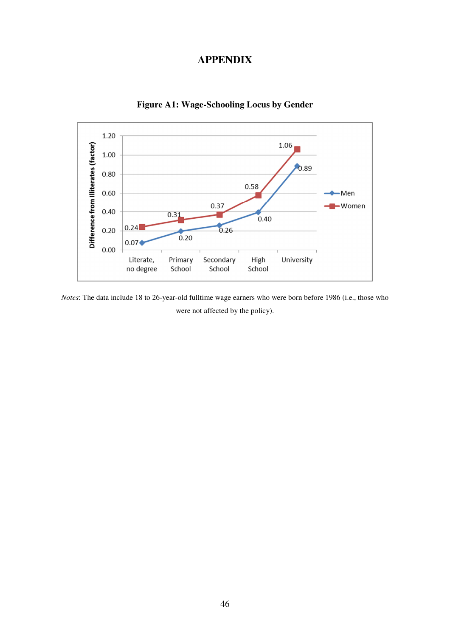# **APPENDIX**



**Figure A1: Wage-Schooling Locus by Gender** 

*Notes*: The data include 18 to 26-year-old fulltime wage earners who were born before 1986 (i.e., those who were not affected by the policy).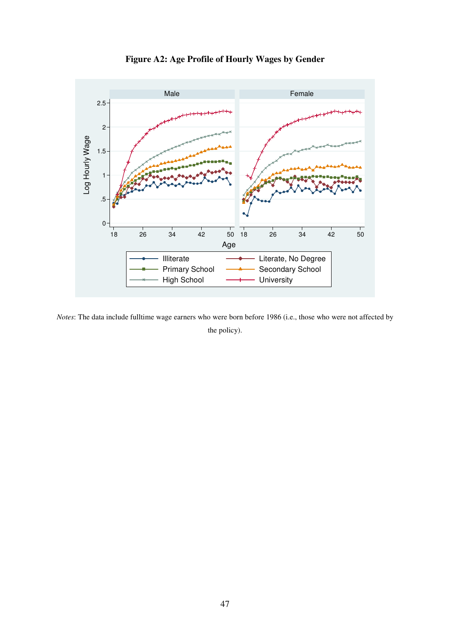

**Figure A2: Age Profile of Hourly Wages by Gender** 

*Notes*: The data include fulltime wage earners who were born before 1986 (i.e., those who were not affected by the policy).